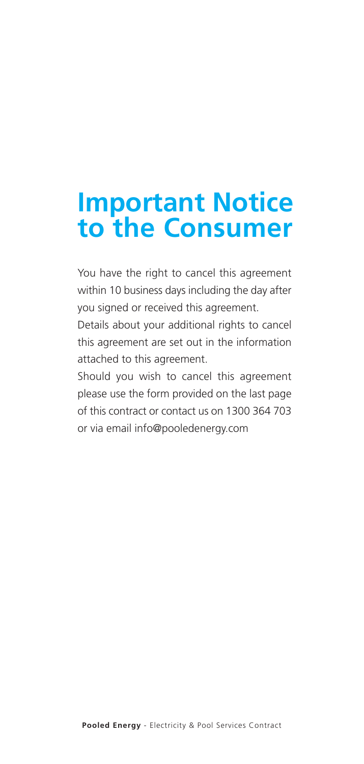# **Important Notice to the Consumer**

You have the right to cancel this agreement within 10 business days including the day after you signed or received this agreement.

Details about your additional rights to cancel this agreement are set out in the information attached to this agreement.

Should you wish to cancel this agreement please use the form provided on the last page of this contract or contact us on 1300 364 703 or via email info@pooledenergy.com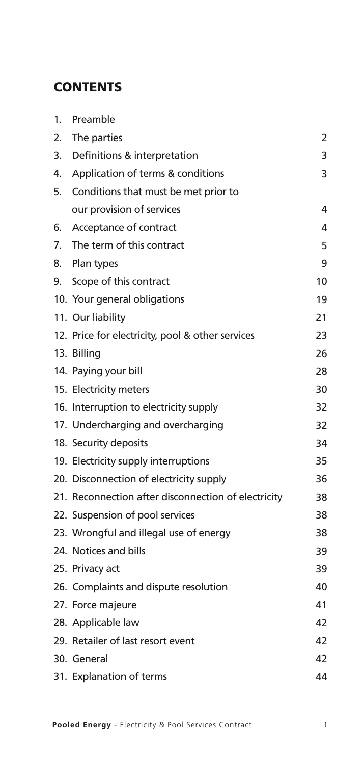# **CONTENTS**

| 1. | Preamble                                            |    |
|----|-----------------------------------------------------|----|
| 2. | The parties                                         | 2  |
| 3. | Definitions & interpretation                        | 3  |
| 4. | Application of terms & conditions                   | 3  |
| 5. | Conditions that must be met prior to                |    |
|    | our provision of services                           | 4  |
| 6. | Acceptance of contract                              | 4  |
| 7. | The term of this contract                           | 5  |
| 8. | Plan types                                          | 9  |
| 9. | Scope of this contract                              | 10 |
|    | 10. Your general obligations                        | 19 |
|    | 11. Our liability                                   | 21 |
|    | 12. Price for electricity, pool & other services    | 23 |
|    | 13. Billing                                         | 26 |
|    | 14. Paying your bill                                | 28 |
|    | 15. Electricity meters                              | 30 |
|    | 16. Interruption to electricity supply              | 32 |
|    | 17. Undercharging and overcharging                  | 32 |
|    | 18. Security deposits                               | 34 |
|    | 19. Electricity supply interruptions                | 35 |
|    | 20. Disconnection of electricity supply             | 36 |
|    | 21. Reconnection after disconnection of electricity | 38 |
|    | 22. Suspension of pool services                     | 38 |
|    | 23. Wrongful and illegal use of energy              | 38 |
|    | 24. Notices and bills                               | 39 |
|    | 25. Privacy act                                     | 39 |
|    | 26. Complaints and dispute resolution               | 40 |
|    | 27. Force majeure                                   | 41 |
|    | 28. Applicable law                                  | 42 |
|    | 29. Retailer of last resort event                   | 42 |
|    | 30. General                                         | 42 |
|    | 31. Explanation of terms                            | 44 |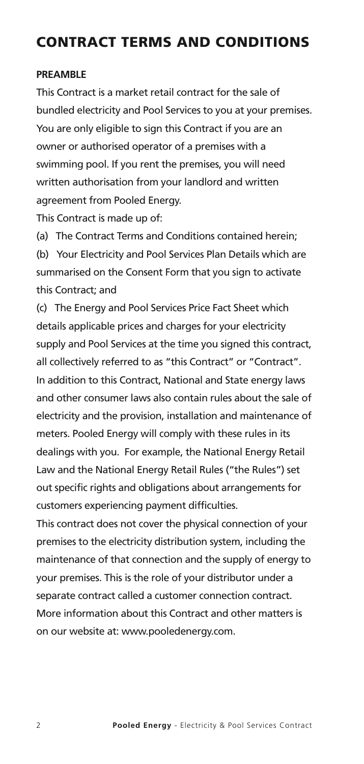# **CONTRACT TERMS AND CONDITIONS**

#### **PREAMBLE**

This Contract is a market retail contract for the sale of bundled electricity and Pool Services to you at your premises. You are only eligible to sign this Contract if you are an owner or authorised operator of a premises with a swimming pool. If you rent the premises, you will need written authorisation from your landlord and written agreement from Pooled Energy.

This Contract is made up of:

(a) The Contract Terms and Conditions contained herein; (b) Your Electricity and Pool Services Plan Details which are summarised on the Consent Form that you sign to activate this Contract; and

(c) The Energy and Pool Services Price Fact Sheet which details applicable prices and charges for your electricity supply and Pool Services at the time you signed this contract, all collectively referred to as "this Contract" or "Contract". In addition to this Contract, National and State energy laws and other consumer laws also contain rules about the sale of electricity and the provision, installation and maintenance of meters. Pooled Energy will comply with these rules in its dealings with you. For example, the National Energy Retail Law and the National Energy Retail Rules ("the Rules") set out specific rights and obligations about arrangements for customers experiencing payment difficulties.

This contract does not cover the physical connection of your premises to the electricity distribution system, including the maintenance of that connection and the supply of energy to your premises. This is the role of your distributor under a separate contract called a customer connection contract. More information about this Contract and other matters is on our website at: www.pooledenergy.com.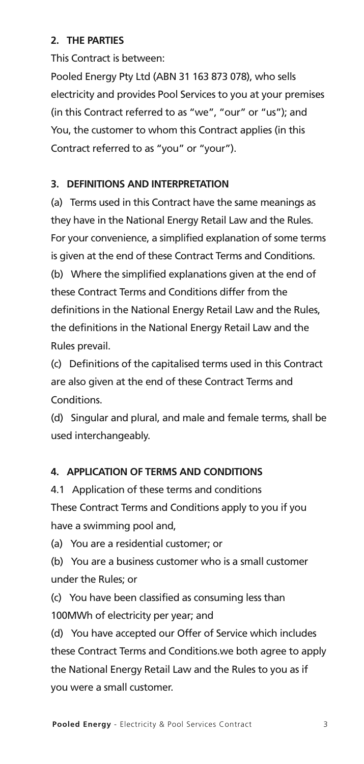#### **2. THE PARTIES**

This Contract is between:

Pooled Energy Pty Ltd (ABN 31 163 873 078), who sells electricity and provides Pool Services to you at your premises (in this Contract referred to as "we", "our" or "us"); and You, the customer to whom this Contract applies (in this Contract referred to as "you" or "your").

#### **3. DEFINITIONS AND INTERPRETATION**

(a) Terms used in this Contract have the same meanings as they have in the National Energy Retail Law and the Rules. For your convenience, a simplified explanation of some terms is given at the end of these Contract Terms and Conditions. (b) Where the simplified explanations given at the end of these Contract Terms and Conditions differ from the definitions in the National Energy Retail Law and the Rules, the definitions in the National Energy Retail Law and the Rules prevail.

(c) Definitions of the capitalised terms used in this Contract are also given at the end of these Contract Terms and Conditions.

(d) Singular and plural, and male and female terms, shall be used interchangeably.

#### **4. APPLICATION OF TERMS AND CONDITIONS**

4.1 Application of these terms and conditions These Contract Terms and Conditions apply to you if you have a swimming pool and,

(a) You are a residential customer; or

(b) You are a business customer who is a small customer under the Rules; or

(c) You have been classified as consuming less than 100MWh of electricity per year; and

(d) You have accepted our Offer of Service which includes these Contract Terms and Conditions.we both agree to apply the National Energy Retail Law and the Rules to you as if you were a small customer.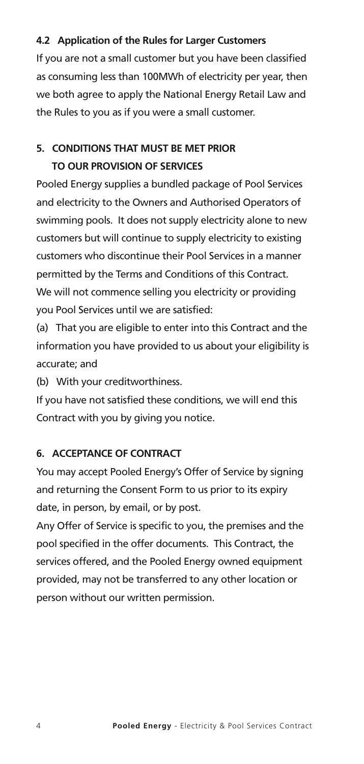#### **4.2 Application of the Rules for Larger Customers**

If you are not a small customer but you have been classified as consuming less than 100MWh of electricity per year, then we both agree to apply the National Energy Retail Law and the Rules to you as if you were a small customer.

## **5. CONDITIONS THAT MUST BE MET PRIOR TO OUR PROVISION OF SERVICES**

Pooled Energy supplies a bundled package of Pool Services and electricity to the Owners and Authorised Operators of swimming pools. It does not supply electricity alone to new customers but will continue to supply electricity to existing customers who discontinue their Pool Services in a manner permitted by the Terms and Conditions of this Contract. We will not commence selling you electricity or providing you Pool Services until we are satisfied:

(a) That you are eligible to enter into this Contract and the information you have provided to us about your eligibility is accurate; and

(b) With your creditworthiness.

If you have not satisfied these conditions, we will end this Contract with you by giving you notice.

#### **6. ACCEPTANCE OF CONTRACT**

You may accept Pooled Energy's Offer of Service by signing and returning the Consent Form to us prior to its expiry date, in person, by email, or by post.

Any Offer of Service is specific to you, the premises and the pool specified in the offer documents. This Contract, the services offered, and the Pooled Energy owned equipment provided, may not be transferred to any other location or person without our written permission.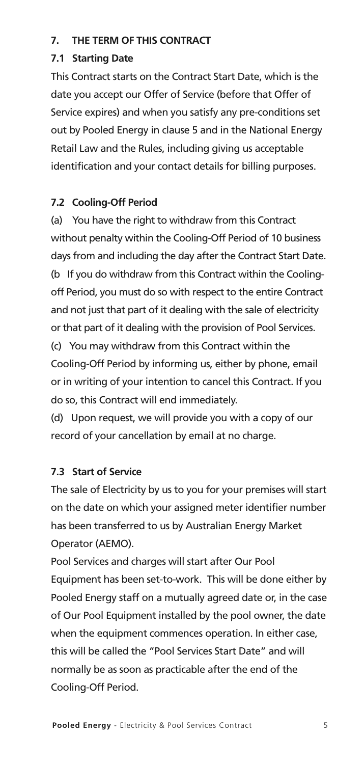#### **7. THE TERM OF THIS CONTRACT**

#### **7.1 Starting Date**

This Contract starts on the Contract Start Date, which is the date you accept our Offer of Service (before that Offer of Service expires) and when you satisfy any pre-conditions set out by Pooled Energy in clause 5 and in the National Energy Retail Law and the Rules, including giving us acceptable identification and your contact details for billing purposes.

#### **7.2 Cooling-Off Period**

(a) You have the right to withdraw from this Contract without penalty within the Cooling-Off Period of 10 business days from and including the day after the Contract Start Date. (b If you do withdraw from this Contract within the Coolingoff Period, you must do so with respect to the entire Contract and not just that part of it dealing with the sale of electricity or that part of it dealing with the provision of Pool Services. (c) You may withdraw from this Contract within the Cooling-Off Period by informing us, either by phone, email or in writing of your intention to cancel this Contract. If you do so, this Contract will end immediately.

(d) Upon request, we will provide you with a copy of our record of your cancellation by email at no charge.

#### **7.3 Start of Service**

The sale of Electricity by us to you for your premises will start on the date on which your assigned meter identifier number has been transferred to us by Australian Energy Market Operator (AEMO).

Pool Services and charges will start after Our Pool Equipment has been set-to-work. This will be done either by Pooled Energy staff on a mutually agreed date or, in the case of Our Pool Equipment installed by the pool owner, the date when the equipment commences operation. In either case, this will be called the "Pool Services Start Date" and will normally be as soon as practicable after the end of the Cooling-Off Period.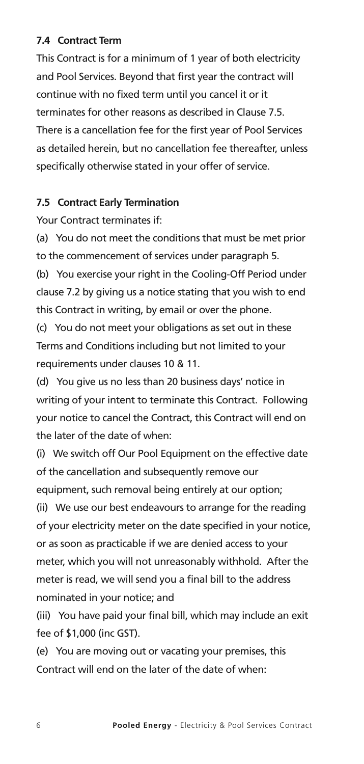#### **7.4 Contract Term**

This Contract is for a minimum of 1 year of both electricity and Pool Services. Beyond that first year the contract will continue with no fixed term until you cancel it or it terminates for other reasons as described in Clause 7.5. There is a cancellation fee for the first year of Pool Services as detailed herein, but no cancellation fee thereafter, unless specifically otherwise stated in your offer of service.

#### **7.5 Contract Early Termination**

Your Contract terminates if:

(a) You do not meet the conditions that must be met prior to the commencement of services under paragraph 5. (b) You exercise your right in the Cooling-Off Period under

clause 7.2 by giving us a notice stating that you wish to end this Contract in writing, by email or over the phone.

(c) You do not meet your obligations as set out in these Terms and Conditions including but not limited to your requirements under clauses 10 & 11.

(d) You give us no less than 20 business days' notice in writing of your intent to terminate this Contract. Following your notice to cancel the Contract, this Contract will end on the later of the date of when:

(i) We switch off Our Pool Equipment on the effective date of the cancellation and subsequently remove our equipment, such removal being entirely at our option; (ii) We use our best endeavours to arrange for the reading of your electricity meter on the date specified in your notice, or as soon as practicable if we are denied access to your meter, which you will not unreasonably withhold. After the meter is read, we will send you a final bill to the address nominated in your notice; and

(iii) You have paid your final bill, which may include an exit fee of \$1,000 (inc GST).

(e) You are moving out or vacating your premises, this Contract will end on the later of the date of when: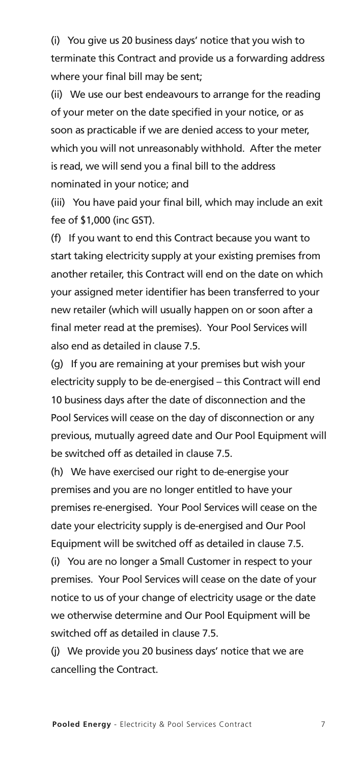(i) You give us 20 business days' notice that you wish to terminate this Contract and provide us a forwarding address where your final bill may be sent;

(ii) We use our best endeavours to arrange for the reading of your meter on the date specified in your notice, or as soon as practicable if we are denied access to your meter, which you will not unreasonably withhold. After the meter is read, we will send you a final bill to the address nominated in your notice; and

(iii) You have paid your final bill, which may include an exit fee of \$1,000 (inc GST).

(f) If you want to end this Contract because you want to start taking electricity supply at your existing premises from another retailer, this Contract will end on the date on which your assigned meter identifier has been transferred to your new retailer (which will usually happen on or soon after a final meter read at the premises). Your Pool Services will also end as detailed in clause 7.5.

(g) If you are remaining at your premises but wish your electricity supply to be de-energised – this Contract will end 10 business days after the date of disconnection and the Pool Services will cease on the day of disconnection or any previous, mutually agreed date and Our Pool Equipment will be switched off as detailed in clause 7.5.

(h) We have exercised our right to de-energise your premises and you are no longer entitled to have your premises re-energised. Your Pool Services will cease on the date your electricity supply is de-energised and Our Pool Equipment will be switched off as detailed in clause 7.5. (i) You are no longer a Small Customer in respect to your premises. Your Pool Services will cease on the date of your notice to us of your change of electricity usage or the date we otherwise determine and Our Pool Equipment will be switched off as detailed in clause 7.5.

(j) We provide you 20 business days' notice that we are cancelling the Contract.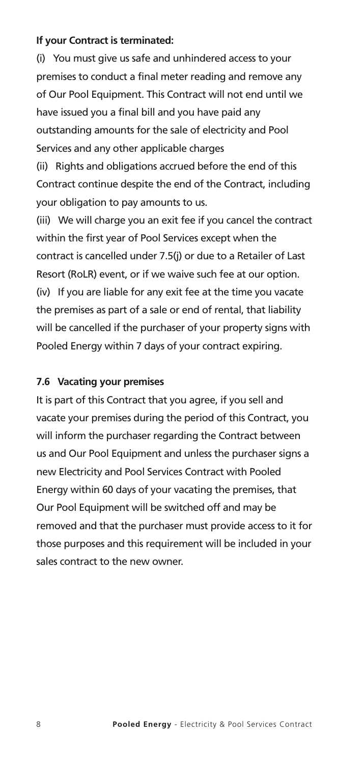#### **If your Contract is terminated:**

(i) You must give us safe and unhindered access to your premises to conduct a final meter reading and remove any of Our Pool Equipment. This Contract will not end until we have issued you a final bill and you have paid any outstanding amounts for the sale of electricity and Pool Services and any other applicable charges

(ii) Rights and obligations accrued before the end of this Contract continue despite the end of the Contract, including your obligation to pay amounts to us.

(iii) We will charge you an exit fee if you cancel the contract within the first year of Pool Services except when the contract is cancelled under 7.5(j) or due to a Retailer of Last Resort (RoLR) event, or if we waive such fee at our option. (iv) If you are liable for any exit fee at the time you vacate the premises as part of a sale or end of rental, that liability will be cancelled if the purchaser of your property signs with Pooled Energy within 7 days of your contract expiring.

#### **7.6 Vacating your premises**

It is part of this Contract that you agree, if you sell and vacate your premises during the period of this Contract, you will inform the purchaser regarding the Contract between us and Our Pool Equipment and unless the purchaser signs a new Electricity and Pool Services Contract with Pooled Energy within 60 days of your vacating the premises, that Our Pool Equipment will be switched off and may be removed and that the purchaser must provide access to it for those purposes and this requirement will be included in your sales contract to the new owner.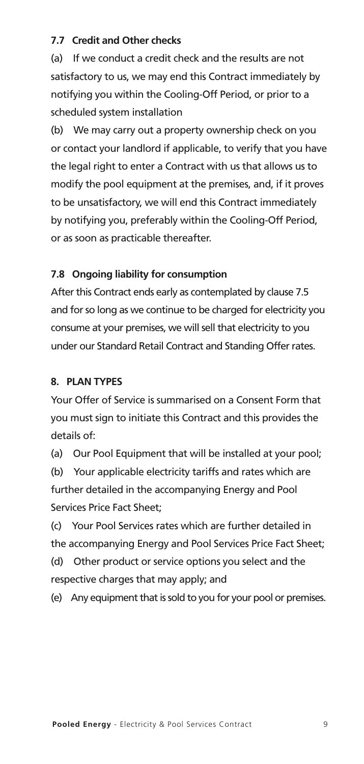#### **7.7 Credit and Other checks**

(a) If we conduct a credit check and the results are not satisfactory to us, we may end this Contract immediately by notifying you within the Cooling-Off Period, or prior to a scheduled system installation

(b) We may carry out a property ownership check on you or contact your landlord if applicable, to verify that you have the legal right to enter a Contract with us that allows us to modify the pool equipment at the premises, and, if it proves to be unsatisfactory, we will end this Contract immediately by notifying you, preferably within the Cooling-Off Period, or as soon as practicable thereafter.

#### **7.8 Ongoing liability for consumption**

After this Contract ends early as contemplated by clause 7.5 and for so long as we continue to be charged for electricity you consume at your premises, we will sell that electricity to you under our Standard Retail Contract and Standing Offer rates.

#### **8. PLAN TYPES**

Your Offer of Service is summarised on a Consent Form that you must sign to initiate this Contract and this provides the details of:

(a) Our Pool Equipment that will be installed at your pool:

(b) Your applicable electricity tariffs and rates which are further detailed in the accompanying Energy and Pool Services Price Fact Sheet;

(c) Your Pool Services rates which are further detailed in the accompanying Energy and Pool Services Price Fact Sheet;

(d) Other product or service options you select and the respective charges that may apply; and

(e) Any equipment that is sold to you for your pool or premises.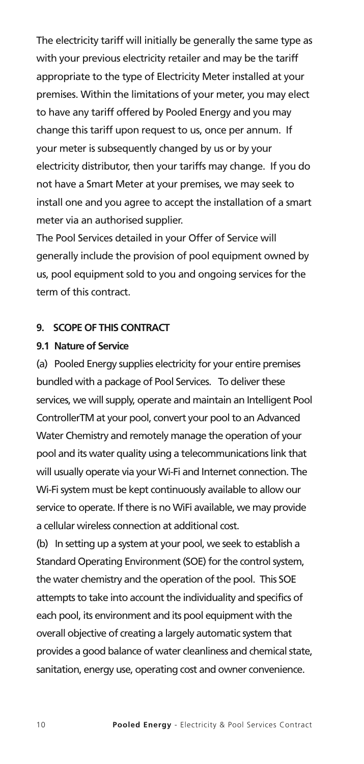The electricity tariff will initially be generally the same type as with your previous electricity retailer and may be the tariff appropriate to the type of Electricity Meter installed at your premises. Within the limitations of your meter, you may elect to have any tariff offered by Pooled Energy and you may change this tariff upon request to us, once per annum. If your meter is subsequently changed by us or by your electricity distributor, then your tariffs may change. If you do not have a Smart Meter at your premises, we may seek to install one and you agree to accept the installation of a smart meter via an authorised supplier.

The Pool Services detailed in your Offer of Service will generally include the provision of pool equipment owned by us, pool equipment sold to you and ongoing services for the term of this contract.

#### **9. SCOPE OF THIS CONTRACT**

#### **9.1 Nature of Service**

(a) Pooled Energy supplies electricity for your entire premises bundled with a package of Pool Services. To deliver these services, we will supply, operate and maintain an Intelligent Pool ControllerTM at your pool, convert your pool to an Advanced Water Chemistry and remotely manage the operation of your pool and its water quality using a telecommunications link that will usually operate via your Wi-Fi and Internet connection. The Wi-Fi system must be kept continuously available to allow our service to operate. If there is no WiFi available, we may provide a cellular wireless connection at additional cost.

(b) In setting up a system at your pool, we seek to establish a Standard Operating Environment (SOE) for the control system, the water chemistry and the operation of the pool. This SOE attempts to take into account the individuality and specifics of each pool, its environment and its pool equipment with the overall objective of creating a largely automatic system that provides a good balance of water cleanliness and chemical state, sanitation, energy use, operating cost and owner convenience.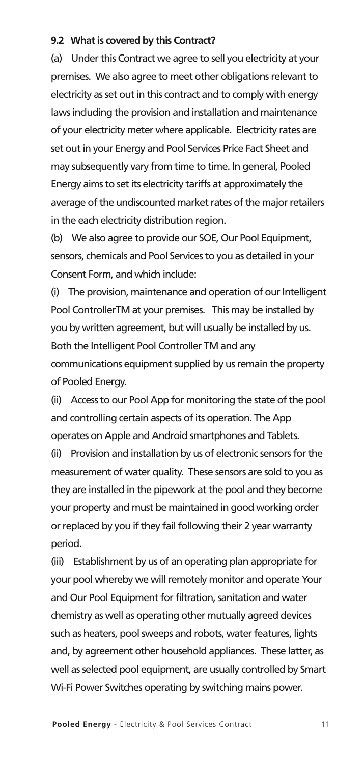#### **9.2 Whatis covered by this Contract?**

(a) Under this Contract we agree to sell you electricity at your premises. We also agree to meet other obligations relevant to electricity as set out in this contract and to comply with energy laws including the provision and installation and maintenance of your electricity meter where applicable. Electricity rates are set out in your Energy and Pool Services Price Fact Sheet and may subsequently vary from time to time. In general, Pooled Energy aims to set its electricity tariffs at approximately the average of the undiscounted market rates of the major retailers in the each electricity distribution region.

(b) We also agree to provide our SOE, Our Pool Equipment, sensors, chemicals and Pool Services to you as detailed in your Consent Form, and which include:

(i) The provision, maintenance and operation of our Intelligent Pool ControllerTM at your premises. This may be installed by you by written agreement, but will usually be installed by us. Both the Intelligent Pool Controller TM and any communications equipment supplied by us remain the property of Pooled Energy.

(ii) Access to our Pool App for monitoring the state of the pool and controlling certain aspects of its operation. The App operates on Apple and Android smartphones and Tablets.

(ii) Provision and installation by us of electronic sensors for the measurement of water quality. These sensors are sold to you as they are installed in the pipework at the pool and they become your property and must be maintained in good working order or replaced by you if they fail following their 2 year warranty period.

(iii) Establishment by us of an operating plan appropriate for your pool whereby we will remotely monitor and operate Your and Our Pool Equipment for filtration, sanitation and water chemistry as well as operating other mutually agreed devices such as heaters, pool sweeps and robots, water features, lights and, by agreement other household appliances. These latter, as well as selected pool equipment, are usually controlled by Smart Wi-Fi Power Switches operating by switching mains power.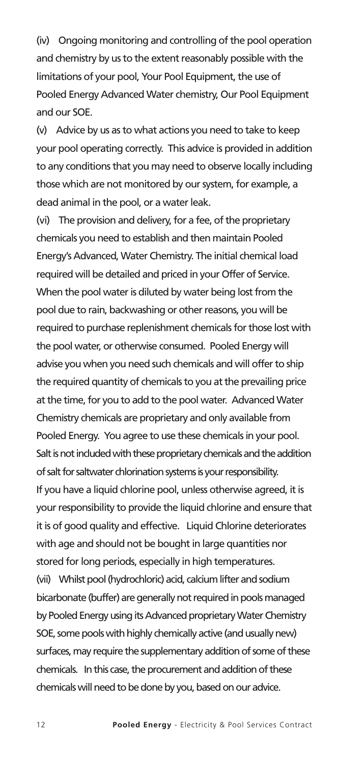(iv) Ongoing monitoring and controlling of the pool operation and chemistry by us to the extent reasonably possible with the limitations of your pool, Your Pool Equipment, the use of Pooled Energy Advanced Water chemistry, Our Pool Equipment and our SOE.

(v) Advice by us asto what actions you need to take to keep your pool operating correctly. This advice is provided in addition to any conditions that you may need to observe locally including those which are not monitored by our system, for example, a dead animal in the pool, or a water leak.

(vi) The provision and delivery, for a fee, of the proprietary chemicals you need to establish and then maintain Pooled Energy's Advanced,Water Chemistry. The initial chemical load required will be detailed and priced in your Offer of Service. When the pool water is diluted by water being lost from the pool due to rain, backwashing or other reasons, you will be required to purchase replenishment chemicals for those lost with the pool water, or otherwise consumed. Pooled Energy will advise you when you need such chemicals and will offer to ship the required quantity of chemicals to you at the prevailing price at the time, for you to add to the pool water. Advanced Water Chemistry chemicals are proprietary and only available from Pooled Energy. You agree to use these chemicals in your pool. Salt is not included with these proprietary chemicals and the addition of salt for saltwater chlorination systems is your responsibility. If you have a liquid chlorine pool, unless otherwise agreed, it is your responsibility to provide the liquid chlorine and ensure that it is of good quality and effective. Liquid Chlorine deteriorates with age and should not be bought in large quantities nor stored for long periods, especially in high temperatures. (vii) Whilst pool (hydrochloric) acid, calcium lifter and sodium bicarbonate (buffer) are generally not required in pools managed by Pooled Energy using its Advanced proprietary Water Chemistry SOE, some pools with highly chemically active (and usually new) surfaces, may require the supplementary addition of some of these chemicals. In this case, the procurement and addition of these chemicals will need to be done by you, based on our advice.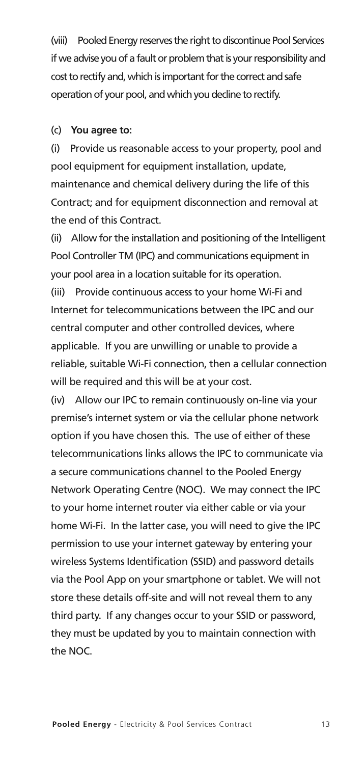(viii) Pooled Energy reserves the right to discontinue Pool Services if we advise you of a fault or problem that is your responsibility and cost to rectify and, which is important for the correct and safe operation of your pool, and which you decline to rectify.

#### (c) **You agree to:**

(i) Provide us reasonable access to your property, pool and pool equipment for equipment installation, update, maintenance and chemical delivery during the life of this Contract; and for equipment disconnection and removal at the end of this Contract.

(ii) Allow for the installation and positioning of the Intelligent Pool Controller TM (IPC) and communications equipment in your pool area in a location suitable for its operation.

(iii) Provide continuous access to your home Wi-Fi and Internet for telecommunications between the IPC and our central computer and other controlled devices, where applicable. If you are unwilling or unable to provide a reliable, suitable Wi-Fi connection, then a cellular connection will be required and this will be at your cost.

(iv) Allow our IPC to remain continuously on-line via your premise's internet system or via the cellular phone network option if you have chosen this. The use of either of these telecommunications links allows the IPC to communicate via a secure communications channel to the Pooled Energy Network Operating Centre (NOC). We may connect the IPC to your home internet router via either cable or via your home Wi-Fi. In the latter case, you will need to give the IPC permission to use your internet gateway by entering your wireless Systems Identification (SSID) and password details via the Pool App on your smartphone or tablet. We will not store these details off-site and will not reveal them to any third party. If any changes occur to your SSID or password, they must be updated by you to maintain connection with the NOC.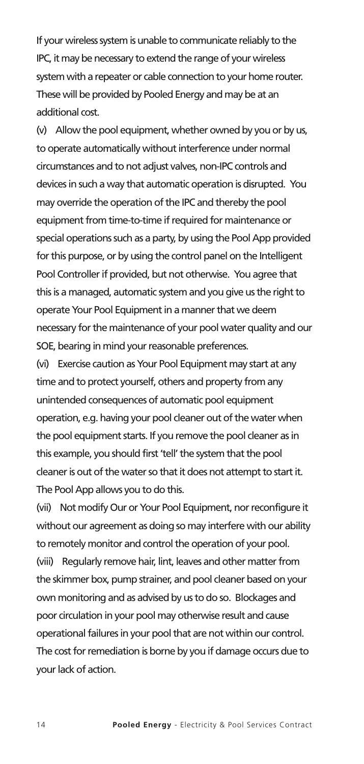If your wireless system is unable to communicate reliably to the IPC, it may be necessary to extend the range of your wireless system with a repeater or cable connection to your home router. These will be provided by Pooled Energy and may be at an additional cost.

(v) Allow the pool equipment, whether owned by you or by us, to operate automatically without interference under normal circumstances and to not adjust valves, non-IPC controls and devices in such a way that automatic operation is disrupted. You may override the operation of the IPC and thereby the pool equipment from time-to-time if required for maintenance or special operations such as a party, by using the Pool App provided for this purpose, or by using the control panel on the Intelligent Pool Controller if provided, but not otherwise. You agree that this is a managed, automatic system and you give us the right to operate Your Pool Equipment in a manner that we deem necessary for the maintenance of your pool water quality and our SOE, bearing in mind your reasonable preferences.

(vi) Exercise caution as Your Pool Equipment may start at any time and to protect yourself, others and property from any unintended consequences of automatic pool equipment operation, e.g. having your pool cleaner out of the water when the pool equipment starts. If you remove the pool cleaner as in this example, you should first 'tell' the system that the pool cleaner is out of the water so that it does not attempt to start it. The Pool App allows you to do this.

(vii) Not modify Our or Your Pool Equipment, nor reconfigure it without our agreement as doing so may interfere with our ability to remotely monitor and control the operation of your pool. (viii) Regularly remove hair, lint, leaves and other matter from the skimmer box, pump strainer, and pool cleaner based on your own monitoring and as advised by us to do so. Blockages and poor circulation in your pool may otherwise result and cause operational failures in your pool that are not within our control. The cost for remediation is borne by you if damage occurs due to your lack of action.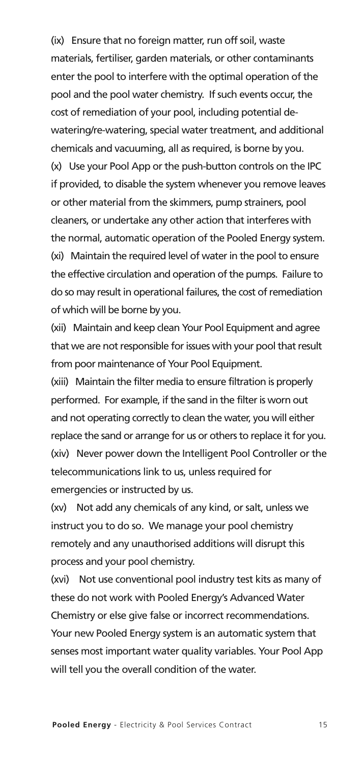(ix) Ensure that no foreign matter, run off soil, waste materials, fertiliser, garden materials, or other contaminants enter the pool to interfere with the optimal operation of the pool and the pool water chemistry. If such events occur, the cost of remediation of your pool, including potential dewatering/re-watering, special water treatment, and additional chemicals and vacuuming, all as required, is borne by you. (x) Use your Pool App or the push-button controls on the IPC if provided, to disable the system whenever you remove leaves or other material from the skimmers, pump strainers, pool cleaners, or undertake any other action that interferes with the normal, automatic operation of the Pooled Energy system. (xi) Maintain the required level of water in the pool to ensure the effective circulation and operation of the pumps. Failure to do so may result in operational failures, the cost of remediation of which will be borne by you.

(xii) Maintain and keep clean Your Pool Equipment and agree that we are not responsible for issues with your pool that result from poor maintenance of Your Pool Equipment.

(xiii) Maintain the filter media to ensure filtration is properly performed. For example, if the sand in the filter is worn out and not operating correctly to clean the water, you will either replace the sand or arrange for us or others to replace it for you. (xiv) Never power down the Intelligent Pool Controller or the telecommunications link to us, unless required for emergencies or instructed by us.

(xv) Not add any chemicals of any kind, or salt, unless we instruct you to do so. We manage your pool chemistry remotely and any unauthorised additions will disrupt this process and your pool chemistry.

(xvi) Not use conventional pool industry test kits as many of these do not work with Pooled Energy's Advanced Water Chemistry or else give false or incorrect recommendations. Your new Pooled Energy system is an automatic system that senses most important water quality variables. Your Pool App will tell you the overall condition of the water.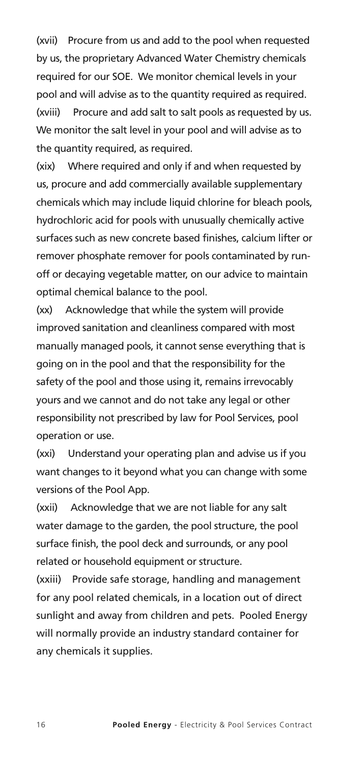(xvii) Procure from us and add to the pool when requested by us, the proprietary Advanced Water Chemistry chemicals required for our SOE. We monitor chemical levels in your pool and will advise as to the quantity required as required. (xviii) Procure and add salt to salt pools as requested by us. We monitor the salt level in your pool and will advise as to the quantity required, as required.

(xix) Where required and only if and when requested by us, procure and add commercially available supplementary chemicals which may include liquid chlorine for bleach pools, hydrochloric acid for pools with unusually chemically active surfaces such as new concrete based finishes, calcium lifter or remover phosphate remover for pools contaminated by runoff or decaying vegetable matter, on our advice to maintain optimal chemical balance to the pool.

(xx) Acknowledge that while the system will provide improved sanitation and cleanliness compared with most manually managed pools, it cannot sense everything that is going on in the pool and that the responsibility for the safety of the pool and those using it, remains irrevocably yours and we cannot and do not take any legal or other responsibility not prescribed by law for Pool Services, pool operation or use.

(xxi) Understand your operating plan and advise us if you want changes to it beyond what you can change with some versions of the Pool App.

(xxii) Acknowledge that we are not liable for any salt water damage to the garden, the pool structure, the pool surface finish, the pool deck and surrounds, or any pool related or household equipment or structure.

(xxiii) Provide safe storage, handling and management for any pool related chemicals, in a location out of direct sunlight and away from children and pets. Pooled Energy will normally provide an industry standard container for any chemicals it supplies.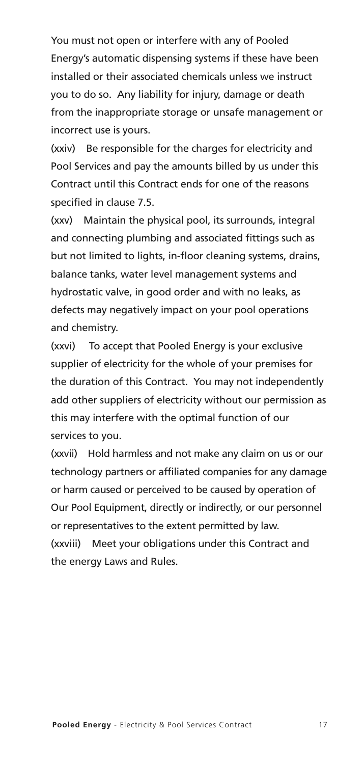You must not open or interfere with any of Pooled Energy's automatic dispensing systems if these have been installed or their associated chemicals unless we instruct you to do so. Any liability for injury, damage or death from the inappropriate storage or unsafe management or incorrect use is yours.

(xxiv) Be responsible for the charges for electricity and Pool Services and pay the amounts billed by us under this Contract until this Contract ends for one of the reasons specified in clause 7.5.

(xxv) Maintain the physical pool, its surrounds, integral and connecting plumbing and associated fittings such as but not limited to lights, in-floor cleaning systems, drains, balance tanks, water level management systems and hydrostatic valve, in good order and with no leaks, as defects may negatively impact on your pool operations and chemistry.

(xxvi) To accept that Pooled Energy is your exclusive supplier of electricity for the whole of your premises for the duration of this Contract. You may not independently add other suppliers of electricity without our permission as this may interfere with the optimal function of our services to you.

(xxvii) Hold harmless and not make any claim on us or our technology partners or affiliated companies for any damage or harm caused or perceived to be caused by operation of Our Pool Equipment, directly or indirectly, or our personnel or representatives to the extent permitted by law. (xxviii) Meet your obligations under this Contract and the energy Laws and Rules.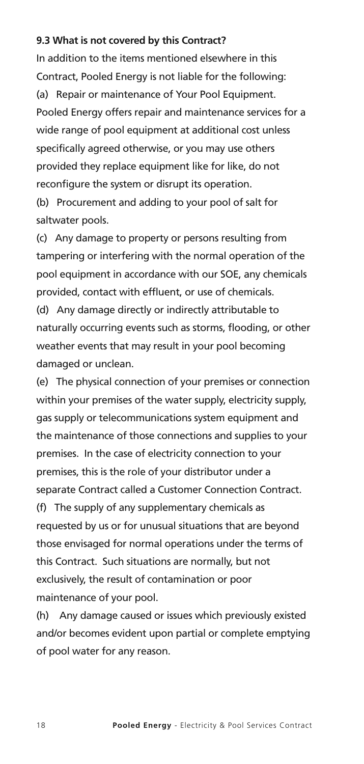#### **9.3 What is not covered by this Contract?**

In addition to the items mentioned elsewhere in this Contract, Pooled Energy is not liable for the following: (a) Repair or maintenance of Your Pool Equipment. Pooled Energy offers repair and maintenance services for a wide range of pool equipment at additional cost unless specifically agreed otherwise, or you may use others provided they replace equipment like for like, do not reconfigure the system or disrupt its operation.

(b) Procurement and adding to your pool of salt for saltwater pools.

(c) Any damage to property or persons resulting from tampering or interfering with the normal operation of the pool equipment in accordance with our SOE, any chemicals provided, contact with effluent, or use of chemicals.

(d) Any damage directly or indirectly attributable to naturally occurring events such as storms, flooding, or other weather events that may result in your pool becoming damaged or unclean.

(e) The physical connection of your premises or connection within your premises of the water supply, electricity supply, gas supply or telecommunications system equipment and the maintenance of those connections and supplies to your premises. In the case of electricity connection to your premises, this is the role of your distributor under a separate Contract called a Customer Connection Contract. (f) The supply of any supplementary chemicals as requested by us or for unusual situations that are beyond those envisaged for normal operations under the terms of this Contract. Such situations are normally, but not exclusively, the result of contamination or poor maintenance of your pool.

(h) Any damage caused or issues which previously existed and/or becomes evident upon partial or complete emptying of pool water for any reason.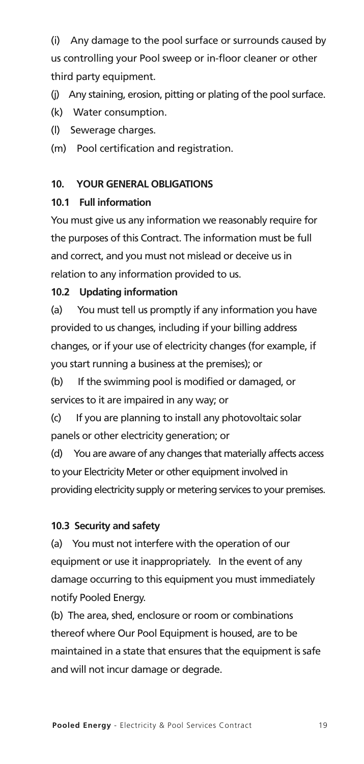(i) Any damage to the pool surface or surrounds caused by us controlling your Pool sweep or in-floor cleaner or other third party equipment.

(i) Any staining, erosion, pitting or plating of the pool surface.

(k) Water consumption.

(l) Sewerage charges.

(m) Pool certification and registration.

#### **10. YOUR GENERAL OBLIGATIONS**

#### **10.1 Full information**

You must give us any information we reasonably require for the purposes of this Contract. The information must be full and correct, and you must not mislead or deceive us in relation to any information provided to us.

#### **10.2 Updating information**

(a) You must tell us promptly if any information you have provided to us changes, including if your billing address changes, or if your use of electricity changes (for example, if you start running a business at the premises); or

(b) If the swimming pool is modified or damaged, or services to it are impaired in any way; or

(c) If you are planning to install any photovoltaic solar panels or other electricity generation; or

(d) You are aware of any changes that materially affects access to your Electricity Meter or other equipment involved in providing electricity supply or metering services to your premises.

#### **10.3 Security and safety**

(a) You must not interfere with the operation of our equipment or use it inappropriately. In the event of any damage occurring to this equipment you must immediately notify Pooled Energy.

(b) The area, shed, enclosure or room or combinations thereof where Our Pool Equipment is housed, are to be maintained in a state that ensures that the equipment is safe and will not incur damage or degrade.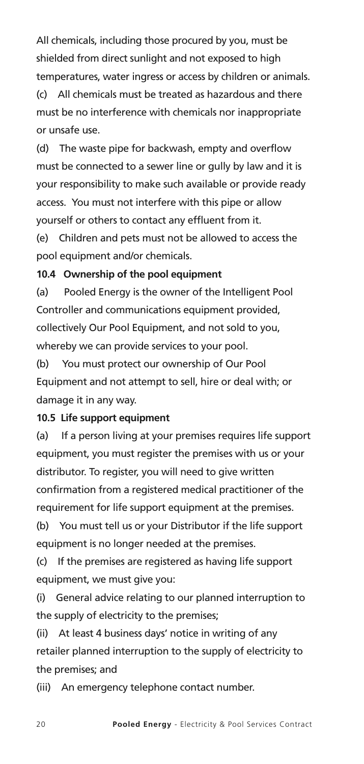All chemicals, including those procured by you, must be shielded from direct sunlight and not exposed to high temperatures, water ingress or access by children or animals. (c) All chemicals must be treated as hazardous and there must be no interference with chemicals nor inappropriate or unsafe use.

(d) The waste pipe for backwash, empty and overflow must be connected to a sewer line or gully by law and it is your responsibility to make such available or provide ready access. You must not interfere with this pipe or allow yourself or others to contact any effluent from it.

(e) Children and pets must not be allowed to access the pool equipment and/or chemicals.

#### **10.4 Ownership of the pool equipment**

(a) Pooled Energy is the owner of the Intelligent Pool Controller and communications equipment provided, collectively Our Pool Equipment, and not sold to you, whereby we can provide services to your pool.

(b) You must protect our ownership of Our Pool Equipment and not attempt to sell, hire or deal with; or damage it in any way.

#### **10.5 Life support equipment**

(a) If a person living at your premises requires life support equipment, you must register the premises with us or your distributor. To register, you will need to give written confirmation from a registered medical practitioner of the requirement for life support equipment at the premises.

(b) You must tell us or your Distributor if the life support equipment is no longer needed at the premises.

(c) If the premises are registered as having life support equipment, we must give you:

(i) General advice relating to our planned interruption to the supply of electricity to the premises;

(ii) At least 4 business days' notice in writing of any retailer planned interruption to the supply of electricity to the premises; and

(iii) An emergency telephone contact number.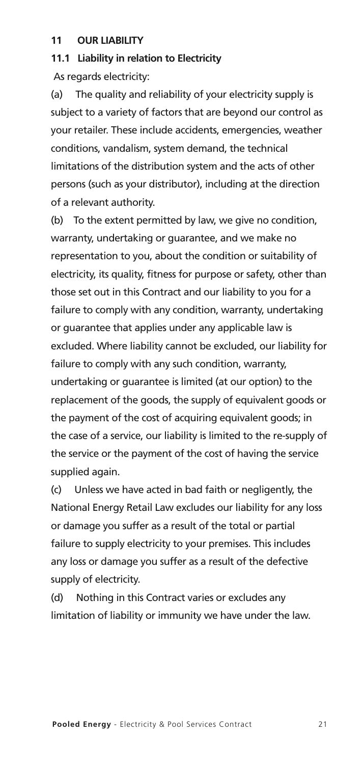#### **11 OUR LIABILITY**

#### **11.1 Liability in relation to Electricity**

As regards electricity:

(a) The quality and reliability of your electricity supply is subject to a variety of factors that are beyond our control as your retailer. These include accidents, emergencies, weather conditions, vandalism, system demand, the technical limitations of the distribution system and the acts of other persons (such as your distributor), including at the direction of a relevant authority.

(b) To the extent permitted by law, we give no condition, warranty, undertaking or guarantee, and we make no representation to you, about the condition or suitability of electricity, its quality, fitness for purpose or safety, other than those set out in this Contract and our liability to you for a failure to comply with any condition, warranty, undertaking or guarantee that applies under any applicable law is excluded. Where liability cannot be excluded, our liability for failure to comply with any such condition, warranty, undertaking or guarantee is limited (at our option) to the replacement of the goods, the supply of equivalent goods or the payment of the cost of acquiring equivalent goods; in the case of a service, our liability is limited to the re-supply of the service or the payment of the cost of having the service supplied again.

(c) Unless we have acted in bad faith or negligently, the National Energy Retail Law excludes our liability for any loss or damage you suffer as a result of the total or partial failure to supply electricity to your premises. This includes any loss or damage you suffer as a result of the defective supply of electricity.

(d) Nothing in this Contract varies or excludes any limitation of liability or immunity we have under the law.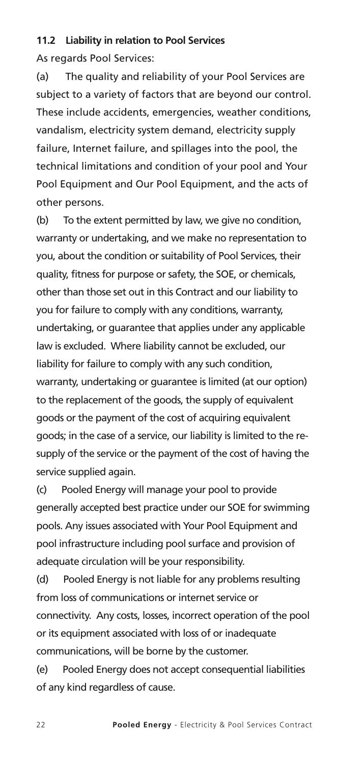#### **11.2 Liability in relation to Pool Services**

As regards Pool Services:

(a) The quality and reliability of your Pool Services are subject to a variety of factors that are beyond our control. These include accidents, emergencies, weather conditions, vandalism, electricity system demand, electricity supply failure, Internet failure, and spillages into the pool, the technical limitations and condition of your pool and Your Pool Equipment and Our Pool Equipment, and the acts of other persons.

(b) To the extent permitted by law, we give no condition, warranty or undertaking, and we make no representation to you, about the condition or suitability of Pool Services, their quality, fitness for purpose or safety, the SOE, or chemicals, other than those set out in this Contract and our liability to you for failure to comply with any conditions, warranty, undertaking, or guarantee that applies under any applicable law is excluded. Where liability cannot be excluded, our liability for failure to comply with any such condition, warranty, undertaking or guarantee is limited (at our option) to the replacement of the goods, the supply of equivalent goods or the payment of the cost of acquiring equivalent goods; in the case of a service, our liability is limited to the resupply of the service or the payment of the cost of having the service supplied again.

(c) Pooled Energy will manage your pool to provide generally accepted best practice under our SOE for swimming pools. Any issues associated with Your Pool Equipment and pool infrastructure including pool surface and provision of adequate circulation will be your responsibility.

(d) Pooled Energy is not liable for any problems resulting from loss of communications or internet service or connectivity. Any costs, losses, incorrect operation of the pool or its equipment associated with loss of or inadequate communications, will be borne by the customer.

(e) Pooled Energy does not accept consequential liabilities of any kind regardless of cause.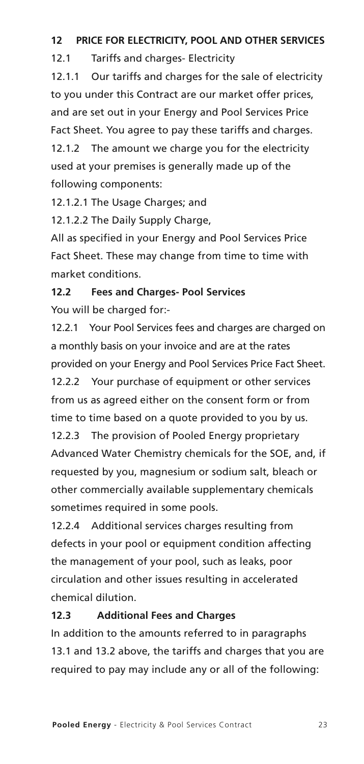#### **12 PRICE FOR ELECTRICITY, POOL AND OTHER SERVICES**

12.1 Tariffs and charges- Electricity

12.1.1 Our tariffs and charges for the sale of electricity to you under this Contract are our market offer prices, and are set out in your Energy and Pool Services Price Fact Sheet. You agree to pay these tariffs and charges.

12.1.2 The amount we charge you for the electricity used at your premises is generally made up of the following components:

12.1.2.1 The Usage Charges; and

12.1.2.2 The Daily Supply Charge,

All as specified in your Energy and Pool Services Price Fact Sheet. These may change from time to time with market conditions.

#### **12.2 Fees and Charges- Pool Services**

You will be charged for:-

12.2.1 Your Pool Services fees and charges are charged on a monthly basis on your invoice and are at the rates provided on your Energy and Pool Services Price Fact Sheet. 12.2.2 Your purchase of equipment or other services from us as agreed either on the consent form or from time to time based on a quote provided to you by us. 12.2.3 The provision of Pooled Energy proprietary Advanced Water Chemistry chemicals for the SOE, and, if requested by you, magnesium or sodium salt, bleach or other commercially available supplementary chemicals sometimes required in some pools.

12.2.4 Additional services charges resulting from defects in your pool or equipment condition affecting the management of your pool, such as leaks, poor circulation and other issues resulting in accelerated chemical dilution.

#### **12.3 Additional Fees and Charges**

In addition to the amounts referred to in paragraphs 13.1 and 13.2 above, the tariffs and charges that you are required to pay may include any or all of the following: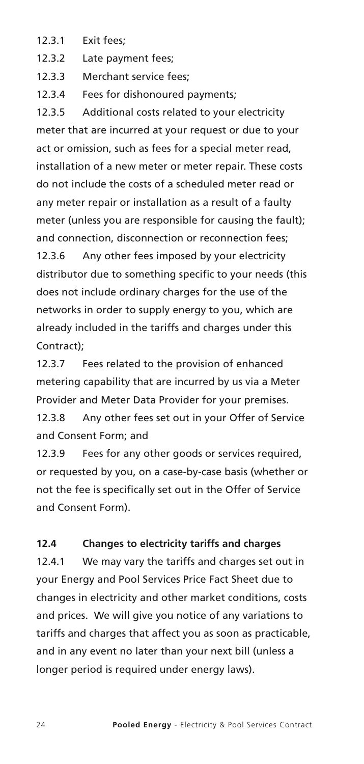- 12.3.1 Exit fees;
- 12.3.2 Late payment fees;

12.3.3 Merchant service fees;

12.3.4 Fees for dishonoured payments;

12.3.5 Additional costs related to your electricity meter that are incurred at your request or due to your act or omission, such as fees for a special meter read, installation of a new meter or meter repair. These costs do not include the costs of a scheduled meter read or any meter repair or installation as a result of a faulty meter (unless you are responsible for causing the fault); and connection, disconnection or reconnection fees; 12.3.6 Any other fees imposed by your electricity distributor due to something specific to your needs (this does not include ordinary charges for the use of the networks in order to supply energy to you, which are already included in the tariffs and charges under this Contract);

12.3.7 Fees related to the provision of enhanced metering capability that are incurred by us via a Meter Provider and Meter Data Provider for your premises.

12.3.8 Any other fees set out in your Offer of Service and Consent Form; and

12.3.9 Fees for any other goods or services required, or requested by you, on a case-by-case basis (whether or not the fee is specifically set out in the Offer of Service and Consent Form).

#### **12.4 Changes to electricity tariffs and charges**

12.4.1 We may vary the tariffs and charges set out in your Energy and Pool Services Price Fact Sheet due to changes in electricity and other market conditions, costs and prices. We will give you notice of any variations to tariffs and charges that affect you as soon as practicable, and in any event no later than your next bill (unless a longer period is required under energy laws).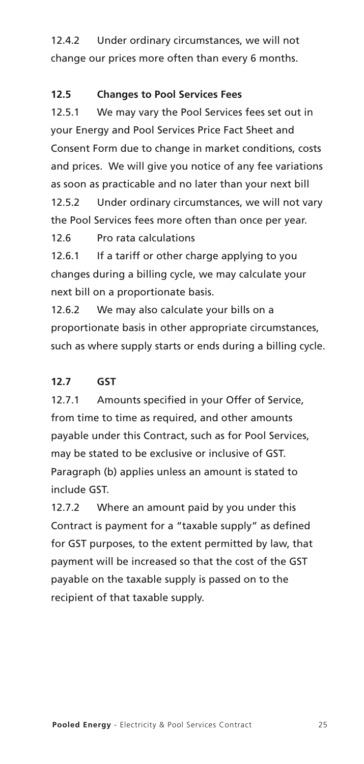12.4.2 Under ordinary circumstances, we will not change our prices more often than every 6 months.

#### **12.5 Changes to Pool Services Fees**

12.5.1 We may vary the Pool Services fees set out in your Energy and Pool Services Price Fact Sheet and Consent Form due to change in market conditions, costs and prices. We will give you notice of any fee variations as soon as practicable and no later than your next bill 12.5.2 Under ordinary circumstances, we will not vary the Pool Services fees more often than once per year.

12.6 Pro rata calculations

12.6.1 If a tariff or other charge applying to you changes during a billing cycle, we may calculate your next bill on a proportionate basis.

12.6.2 We may also calculate your bills on a proportionate basis in other appropriate circumstances, such as where supply starts or ends during a billing cycle.

#### **12.7 GST**

12.7.1 Amounts specified in your Offer of Service, from time to time as required, and other amounts payable under this Contract, such as for Pool Services, may be stated to be exclusive or inclusive of GST. Paragraph (b) applies unless an amount is stated to include GST.

12.7.2 Where an amount paid by you under this Contract is payment for a "taxable supply" as defined for GST purposes, to the extent permitted by law, that payment will be increased so that the cost of the GST payable on the taxable supply is passed on to the recipient of that taxable supply.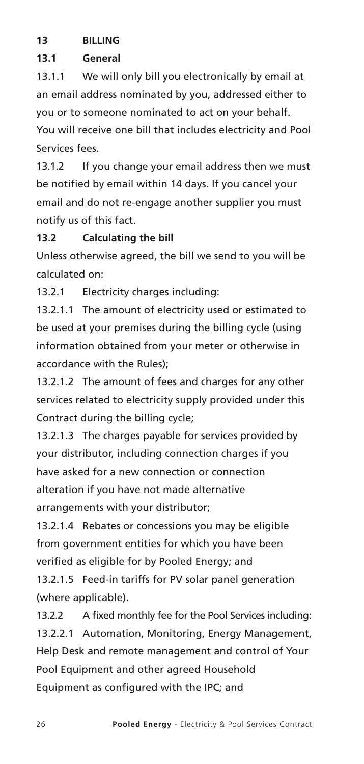#### **13 BILLING**

#### **13.1 General**

13.1.1 We will only bill you electronically by email at an email address nominated by you, addressed either to you or to someone nominated to act on your behalf. You will receive one bill that includes electricity and Pool Services fees.

13.1.2 If you change your email address then we must be notified by email within 14 days. If you cancel your email and do not re-engage another supplier you must notify us of this fact.

#### **13.2 Calculating the bill**

Unless otherwise agreed, the bill we send to you will be calculated on:

13.2.1 Electricity charges including:

13.2.1.1 The amount of electricity used or estimated to be used at your premises during the billing cycle (using information obtained from your meter or otherwise in accordance with the Rules);

13.2.1.2 The amount of fees and charges for any other services related to electricity supply provided under this Contract during the billing cycle;

13.2.1.3 The charges payable for services provided by your distributor, including connection charges if you have asked for a new connection or connection alteration if you have not made alternative arrangements with your distributor;

13.2.1.4 Rebates or concessions you may be eligible from government entities for which you have been verified as eligible for by Pooled Energy; and

13.2.1.5 Feed-in tariffs for PV solar panel generation (where applicable).

13.2.2 A fixed monthly fee for the Pool Services including: 13.2.2.1 Automation, Monitoring, Energy Management, Help Desk and remote management and control of Your Pool Equipment and other agreed Household Equipment as configured with the IPC; and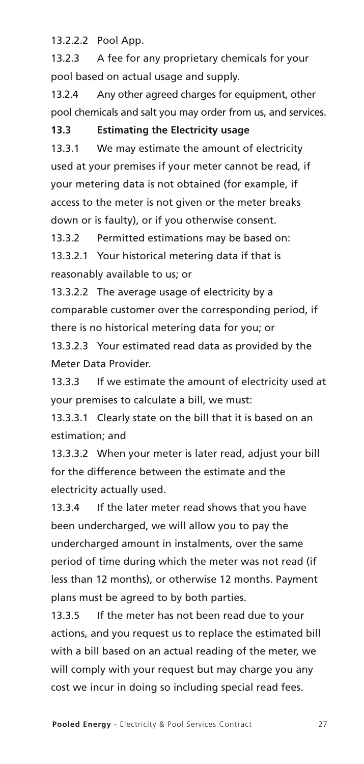13.2.2.2 Pool App.

13.2.3 A fee for any proprietary chemicals for your pool based on actual usage and supply.

13.2.4 Any other agreed charges for equipment, other pool chemicals and salt you may order from us, and services.

#### **13.3 Estimating the Electricity usage**

13.3.1 We may estimate the amount of electricity used at your premises if your meter cannot be read, if your metering data is not obtained (for example, if access to the meter is not given or the meter breaks down or is faulty), or if you otherwise consent.

13.3.2 Permitted estimations may be based on:

13.3.2.1 Your historical metering data if that is reasonably available to us; or

13.3.2.2 The average usage of electricity by a comparable customer over the corresponding period, if there is no historical metering data for you; or

13.3.2.3 Your estimated read data as provided by the Meter Data Provider.

13.3.3 If we estimate the amount of electricity used at your premises to calculate a bill, we must:

13.3.3.1 Clearly state on the bill that it is based on an estimation; and

13.3.3.2 When your meter is later read, adjust your bill for the difference between the estimate and the electricity actually used.

13.3.4 If the later meter read shows that you have been undercharged, we will allow you to pay the undercharged amount in instalments, over the same period of time during which the meter was not read (if less than 12 months), or otherwise 12 months. Payment plans must be agreed to by both parties.

13.3.5 If the meter has not been read due to your actions, and you request us to replace the estimated bill with a bill based on an actual reading of the meter, we will comply with your request but may charge you any cost we incur in doing so including special read fees.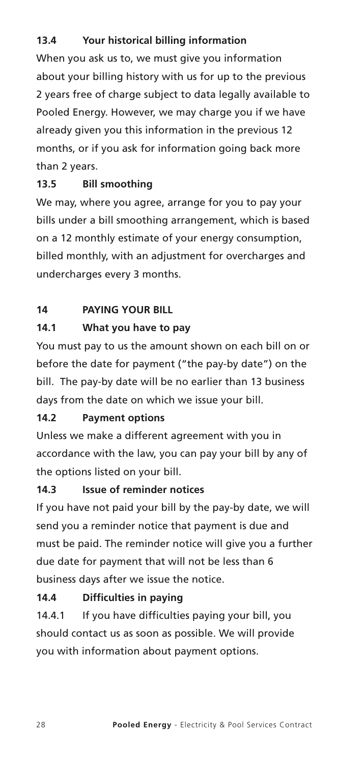#### **13.4 Your historical billing information**

When you ask us to, we must give you information about your billing history with us for up to the previous 2 years free of charge subject to data legally available to Pooled Energy. However, we may charge you if we have already given you this information in the previous 12 months, or if you ask for information going back more than 2 years.

#### **13.5 Bill smoothing**

We may, where you agree, arrange for you to pay your bills under a bill smoothing arrangement, which is based on a 12 monthly estimate of your energy consumption, billed monthly, with an adjustment for overcharges and undercharges every 3 months.

#### **14 PAYING YOUR BILL**

#### **14.1 What you have to pay**

You must pay to us the amount shown on each bill on or before the date for payment ("the pay-by date") on the bill. The pay-by date will be no earlier than 13 business days from the date on which we issue your bill.

#### **14.2 Payment options**

Unless we make a different agreement with you in accordance with the law, you can pay your bill by any of the options listed on your bill.

#### **14.3 Issue of reminder notices**

If you have not paid your bill by the pay-by date, we will send you a reminder notice that payment is due and must be paid. The reminder notice will give you a further due date for payment that will not be less than 6 business days after we issue the notice.

#### **14.4 Difficulties in paying**

14.4.1 If you have difficulties paying your bill, you should contact us as soon as possible. We will provide you with information about payment options.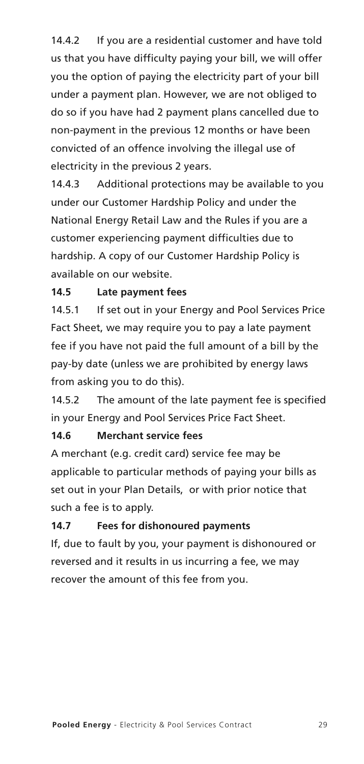14.4.2 If you are a residential customer and have told us that you have difficulty paying your bill, we will offer you the option of paying the electricity part of your bill under a payment plan. However, we are not obliged to do so if you have had 2 payment plans cancelled due to non-payment in the previous 12 months or have been convicted of an offence involving the illegal use of electricity in the previous 2 years.

14.4.3 Additional protections may be available to you under our Customer Hardship Policy and under the National Energy Retail Law and the Rules if you are a customer experiencing payment difficulties due to hardship. A copy of our Customer Hardship Policy is available on our website.

#### **14.5 Late payment fees**

14.5.1 If set out in your Energy and Pool Services Price Fact Sheet, we may require you to pay a late payment fee if you have not paid the full amount of a bill by the pay-by date (unless we are prohibited by energy laws from asking you to do this).

14.5.2 The amount of the late payment fee is specified in your Energy and Pool Services Price Fact Sheet.

#### **14.6 Merchant service fees**

A merchant (e.g. credit card) service fee may be applicable to particular methods of paying your bills as set out in your Plan Details, or with prior notice that such a fee is to apply.

#### **14.7 Fees for dishonoured payments**

If, due to fault by you, your payment is dishonoured or reversed and it results in us incurring a fee, we may recover the amount of this fee from you.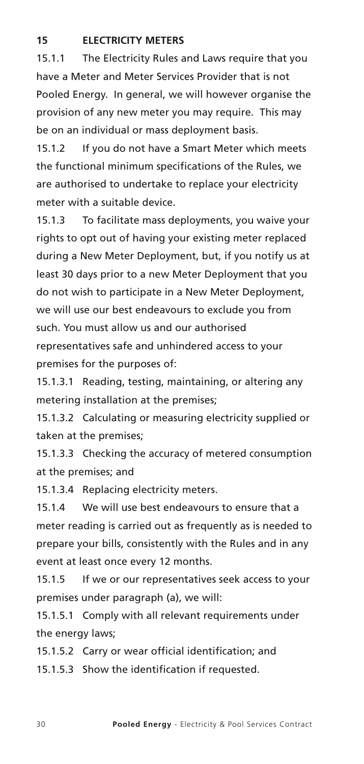#### **15 ELECTRICITY METERS**

15.1.1 The Electricity Rules and Laws require that you have a Meter and Meter Services Provider that is not Pooled Energy. In general, we will however organise the provision of any new meter you may require. This may be on an individual or mass deployment basis.

15.1.2 If you do not have a Smart Meter which meets the functional minimum specifications of the Rules, we are authorised to undertake to replace your electricity meter with a suitable device.

15.1.3 To facilitate mass deployments, you waive your rights to opt out of having your existing meter replaced during a New Meter Deployment, but, if you notify us at least 30 days prior to a new Meter Deployment that you do not wish to participate in a New Meter Deployment, we will use our best endeavours to exclude you from such. You must allow us and our authorised representatives safe and unhindered access to your premises for the purposes of:

15.1.3.1 Reading, testing, maintaining, or altering any metering installation at the premises;

15.1.3.2 Calculating or measuring electricity supplied or taken at the premises;

15.1.3.3 Checking the accuracy of metered consumption at the premises; and

15.1.3.4 Replacing electricity meters.

15.1.4 We will use best endeavours to ensure that a meter reading is carried out as frequently as is needed to prepare your bills, consistently with the Rules and in any event at least once every 12 months.

15.1.5 If we or our representatives seek access to your premises under paragraph (a), we will:

15.1.5.1 Comply with all relevant requirements under the energy laws;

15.1.5.2 Carry or wear official identification; and

15.1.5.3 Show the identification if requested.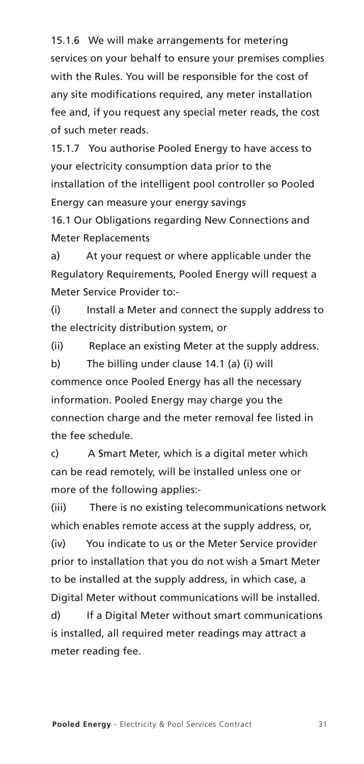15.1.6 We will make arrangements for metering services on your behalf to ensure your premises complies with the Rules. You will be responsible for the cost of any site modifications required, any meter installation fee and, if you request any special meter reads, the cost of such meter reads.

15.1.7 You authorise Pooled Energy to have access to your electricity consumption data prior to the installation of the intelligent pool controller so Pooled Energy can measure your energy savings

16.1 Our Obligations regarding New Connections and Meter Replacements

a) At your request or where applicable under the Regulatory Requirements, Pooled Energy will request a Meter Service Provider to:-

(i) Install a Meter and connect the supply address to the electricity distribution system, or

(ii) Replace an existing Meter at the supply address.

b) The billing under clause 14.1 (a) (i) will commence once Pooled Energy has all the necessary information. Pooled Energy may charge you the connection charge and the meter removal fee listed in the fee schedule.

c) A Smart Meter, which is a digital meter which can be read remotely, will be installed unless one or more of the following applies:-

(iii) There is no existing telecommunications network which enables remote access at the supply address, or,

(iv) You indicate to us or the Meter Service provider prior to installation that you do not wish a Smart Meter to be installed at the supply address, in which case, a Digital Meter without communications will be installed.

d) If a Digital Meter without smart communications is installed, all required meter readings may attract a meter reading fee.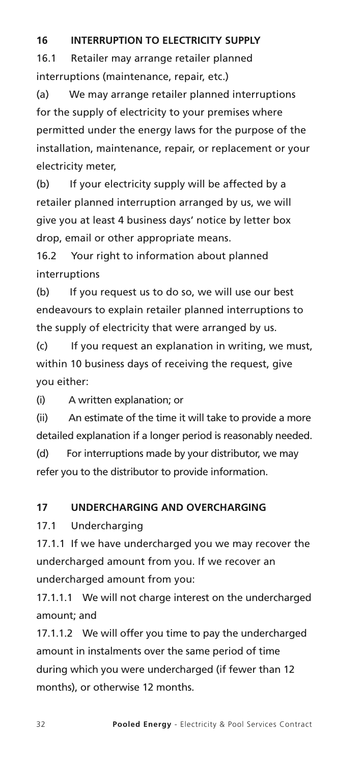#### **16 INTERRUPTION TO ELECTRICITY SUPPLY**

16.1 Retailer may arrange retailer planned interruptions (maintenance, repair, etc.)

(a) We may arrange retailer planned interruptions for the supply of electricity to your premises where permitted under the energy laws for the purpose of the installation, maintenance, repair, or replacement or your electricity meter,

(b) If your electricity supply will be affected by a retailer planned interruption arranged by us, we will give you at least 4 business days' notice by letter box drop, email or other appropriate means.

16.2 Your right to information about planned interruptions

(b) If you request us to do so, we will use our best endeavours to explain retailer planned interruptions to the supply of electricity that were arranged by us.

(c) If you request an explanation in writing, we must, within 10 business days of receiving the request, give you either:

(i) A written explanation; or

(ii) An estimate of the time it will take to provide a more detailed explanation if a longer period is reasonably needed.

(d) For interruptions made by your distributor, we may refer you to the distributor to provide information.

#### **17 UNDERCHARGING AND OVERCHARGING**

17.1 Undercharging

17.1.1 If we have undercharged you we may recover the undercharged amount from you. If we recover an undercharged amount from you:

17.1.1.1 We will not charge interest on the undercharged amount; and

17.1.1.2 We will offer you time to pay the undercharged amount in instalments over the same period of time during which you were undercharged (if fewer than 12 months), or otherwise 12 months.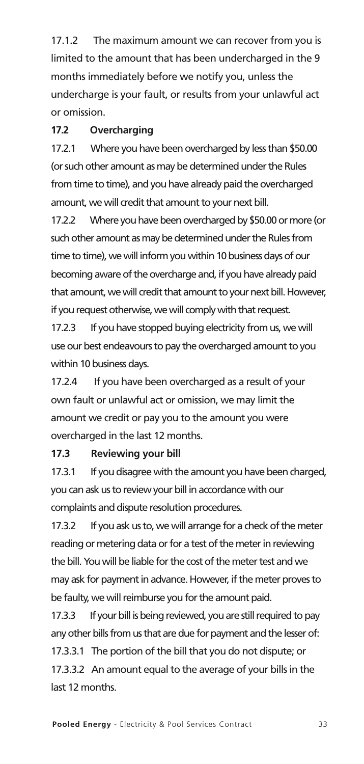17.1.2 The maximum amount we can recover from you is limited to the amount that has been undercharged in the 9 months immediately before we notify you, unless the undercharge is your fault, or results from your unlawful act or omission.

#### **17.2 Overcharging**

17.2.1 Where you have been overcharged by less than \$50.00 (or such other amount as may be determined under the Rules from time to time), and you have already paid the overcharged amount, we will credit that amount to your next bill.

17.2.2 Where you have been overcharged by \$50.00 or more (or such other amount as may be determined under the Rules from time to time), we will inform you within 10 business days of our becoming aware of the overcharge and, if you have already paid that amount, we will credit that amount to your next bill. However, if you request otherwise, we will comply with that request.

17.2.3 If you have stopped buying electricity from us, we will use our best endeavours to pay the overcharged amount to you within 10 business days.

17.2.4 If you have been overcharged as a result of your own fault or unlawful act or omission, we may limit the amount we credit or pay you to the amount you were overcharged in the last 12 months.

#### **17.3 Reviewing your bill**

17.3.1 If you disagree with the amount you have been charged, you can ask us to review your bill in accordance with our complaints and dispute resolution procedures.

17.3.2 If you ask us to, we will arrange for a check of the meter reading or metering data or for a test of the meter in reviewing the bill. You will be liable for the cost of the meter test and we may ask for payment in advance. However, if the meter proves to be faulty, we will reimburse you for the amount paid.

17.3.3 If your bill is being reviewed, you are still required to pay any other bills from us that are due for payment and the lesser of: 17.3.3.1 The portion of the bill that you do not dispute; or 17.3.3.2 An amount equal to the average of your bills in the last 12 months.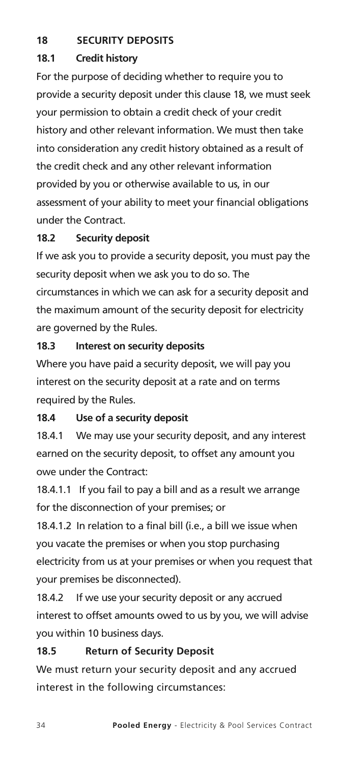#### **18 SECURITY DEPOSITS**

#### **18.1 Credit history**

For the purpose of deciding whether to require you to provide a security deposit under this clause 18, we must seek your permission to obtain a credit check of your credit history and other relevant information. We must then take into consideration any credit history obtained as a result of the credit check and any other relevant information provided by you or otherwise available to us, in our assessment of your ability to meet your financial obligations under the Contract.

#### **18.2 Security deposit**

If we ask you to provide a security deposit, you must pay the security deposit when we ask you to do so. The circumstances in which we can ask for a security deposit and the maximum amount of the security deposit for electricity are governed by the Rules.

#### **18.3 Interest on security deposits**

Where you have paid a security deposit, we will pay you interest on the security deposit at a rate and on terms required by the Rules.

#### **18.4 Use of a security deposit**

18.4.1 We may use your security deposit, and any interest earned on the security deposit, to offset any amount you owe under the Contract:

18.4.1.1 If you fail to pay a bill and as a result we arrange for the disconnection of your premises; or

18.4.1.2 In relation to a final bill (i.e., a bill we issue when you vacate the premises or when you stop purchasing electricity from us at your premises or when you request that your premises be disconnected).

18.4.2 If we use your security deposit or any accrued interest to offset amounts owed to us by you, we will advise you within 10 business days.

#### **18.5 Return of Security Deposit**

We must return your security deposit and any accrued interest in the following circumstances: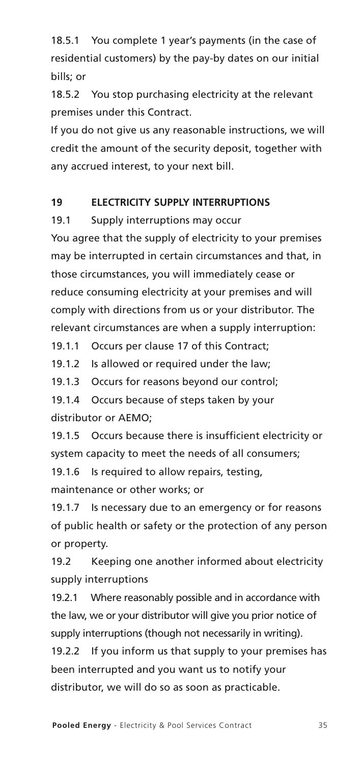18.5.1 You complete 1 year's payments (in the case of residential customers) by the pay-by dates on our initial bills; or

18.5.2 You stop purchasing electricity at the relevant premises under this Contract.

If you do not give us any reasonable instructions, we will credit the amount of the security deposit, together with any accrued interest, to your next bill.

#### **19 ELECTRICITY SUPPLY INTERRUPTIONS**

19.1 Supply interruptions may occur

You agree that the supply of electricity to your premises may be interrupted in certain circumstances and that, in those circumstances, you will immediately cease or reduce consuming electricity at your premises and will comply with directions from us or your distributor. The relevant circumstances are when a supply interruption:

19.1.1 Occurs per clause 17 of this Contract;

19.1.2 Is allowed or required under the law;

19.1.3 Occurs for reasons beyond our control;

19.1.4 Occurs because of steps taken by your distributor or AEMO;

19.1.5 Occurs because there is insufficient electricity or system capacity to meet the needs of all consumers;

19.1.6 Is required to allow repairs, testing,

maintenance or other works; or

19.1.7 Is necessary due to an emergency or for reasons of public health or safety or the protection of any person or property.

19.2 Keeping one another informed about electricity supply interruptions

19.2.1 Where reasonably possible and in accordance with the law, we or your distributor will give you prior notice of supply interruptions (though not necessarily in writing).

19.2.2 If you inform us that supply to your premises has been interrupted and you want us to notify your distributor, we will do so as soon as practicable.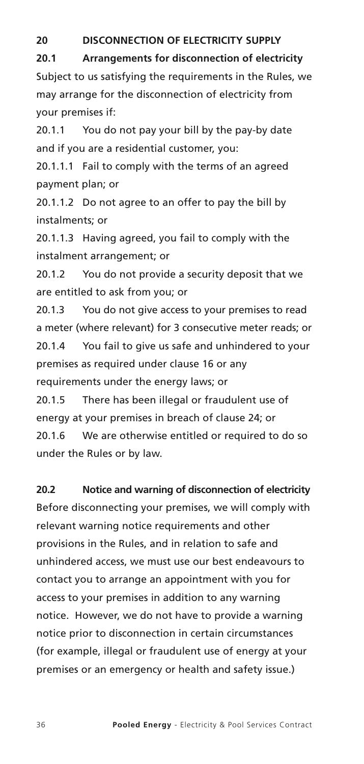#### **20 DISCONNECTION OF ELECTRICITY SUPPLY**

**20.1 Arrangements for disconnection of electricity** Subject to us satisfying the requirements in the Rules, we may arrange for the disconnection of electricity from your premises if:

20.1.1 You do not pay your bill by the pay-by date and if you are a residential customer, you:

20.1.1.1 Fail to comply with the terms of an agreed payment plan; or

20.1.1.2 Do not agree to an offer to pay the bill by instalments; or

20.1.1.3 Having agreed, you fail to comply with the instalment arrangement; or

20.1.2 You do not provide a security deposit that we are entitled to ask from you; or

20.1.3 You do not give access to your premises to read a meter (where relevant) for 3 consecutive meter reads; or 20.1.4 You fail to give us safe and unhindered to your premises as required under clause 16 or any requirements under the energy laws; or

20.1.5 There has been illegal or fraudulent use of energy at your premises in breach of clause 24; or 20.1.6 We are otherwise entitled or required to do so under the Rules or by law.

#### **20.2 Notice and warning of disconnection of electricity**

Before disconnecting your premises, we will comply with relevant warning notice requirements and other provisions in the Rules, and in relation to safe and unhindered access, we must use our best endeavours to contact you to arrange an appointment with you for access to your premises in addition to any warning notice. However, we do not have to provide a warning notice prior to disconnection in certain circumstances (for example, illegal or fraudulent use of energy at your premises or an emergency or health and safety issue.)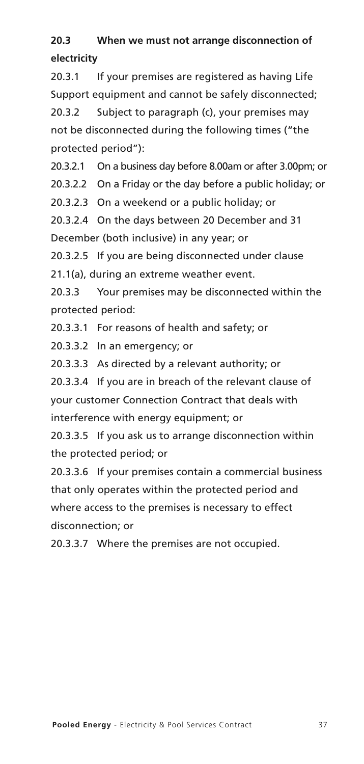### **20.3 When we must not arrange disconnection of electricity**

20.3.1 If your premises are registered as having Life Support equipment and cannot be safely disconnected; 20.3.2 Subject to paragraph (c), your premises may

not be disconnected during the following times ("the protected period"):

20.3.2.1 On a business day before 8.00am or after 3.00pm; or

20.3.2.2 On a Friday or the day before a public holiday; or

20.3.2.3 On a weekend or a public holiday; or

20.3.2.4 On the days between 20 December and 31 December (both inclusive) in any year; or

20.3.2.5 If you are being disconnected under clause

21.1(a), during an extreme weather event.

20.3.3 Your premises may be disconnected within the protected period:

20.3.3.1 For reasons of health and safety; or

20.3.3.2 In an emergency; or

20.3.3.3 As directed by a relevant authority; or

20.3.3.4 If you are in breach of the relevant clause of your customer Connection Contract that deals with interference with energy equipment; or

20.3.3.5 If you ask us to arrange disconnection within the protected period; or

20.3.3.6 If your premises contain a commercial business that only operates within the protected period and where access to the premises is necessary to effect disconnection; or

20.3.3.7 Where the premises are not occupied.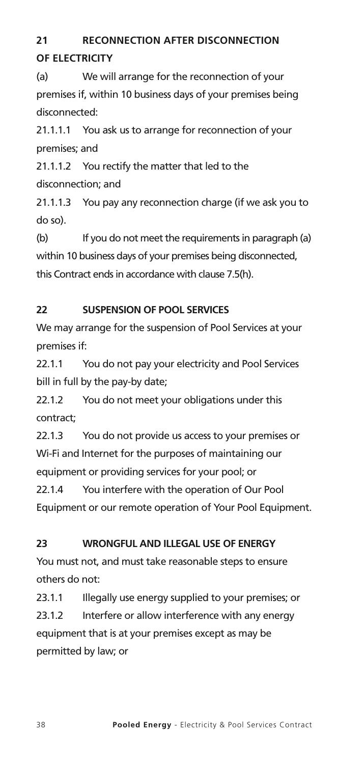## **21 RECONNECTION AFTER DISCONNECTION OF ELECTRICITY**

(a) We will arrange for the reconnection of your premises if, within 10 business days of your premises being disconnected:

21.1.1.1 You ask us to arrange for reconnection of your premises; and

21.1.1.2 You rectify the matter that led to the disconnection; and

21.1.1.3 You pay any reconnection charge (if we ask you to do so).

(b) If you do not meet the requirements in paragraph (a) within 10 business days of your premises being disconnected, this Contract ends in accordance with clause 7.5(h).

#### **22 SUSPENSION OF POOL SERVICES**

We may arrange for the suspension of Pool Services at your premises if:

22.1.1 You do not pay your electricity and Pool Services bill in full by the pay-by date;

22.1.2 You do not meet your obligations under this contract;

22.1.3 You do not provide us access to your premises or Wi-Fi and Internet for the purposes of maintaining our equipment or providing services for your pool; or

22.1.4 You interfere with the operation of Our Pool Equipment or our remote operation of Your Pool Equipment.

#### **23 WRONGFUL AND ILLEGAL USE OF ENERGY**

You must not, and must take reasonable steps to ensure others do not:

23.1.1 Illegally use energy supplied to your premises; or 23.1.2 Interfere or allow interference with any energy equipment that is at your premises except as may be permitted by law; or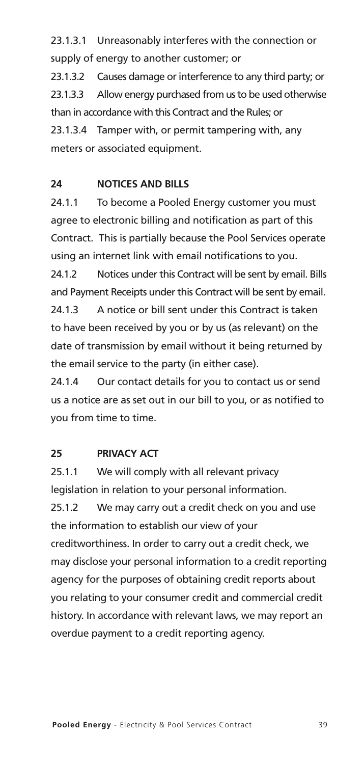23.1.3.1 Unreasonably interferes with the connection or supply of energy to another customer; or

23.1.3.2 Causes damage or interference to any third party; or 23.1.3.3 Allow energy purchased from us to be used otherwise than in accordance with this Contract and the Rules; or 23.1.3.4 Tamper with, or permit tampering with, any meters or associated equipment.

#### **24 NOTICES AND BILLS**

24.1.1 To become a Pooled Energy customer you must agree to electronic billing and notification as part of this Contract. This is partially because the Pool Services operate using an internet link with email notifications to you.

24.1.2 Notices under this Contract will be sent by email. Bills and Payment Receipts under this Contract will be sent by email. 24.1.3 A notice or bill sent under this Contract is taken to have been received by you or by us (as relevant) on the date of transmission by email without it being returned by the email service to the party (in either case).

24.1.4 Our contact details for you to contact us or send us a notice are as set out in our bill to you, or as notified to you from time to time.

#### **25 PRIVACY ACT**

25.1.1 We will comply with all relevant privacy legislation in relation to your personal information. 25.1.2 We may carry out a credit check on you and use the information to establish our view of your creditworthiness. In order to carry out a credit check, we may disclose your personal information to a credit reporting agency for the purposes of obtaining credit reports about you relating to your consumer credit and commercial credit history. In accordance with relevant laws, we may report an overdue payment to a credit reporting agency.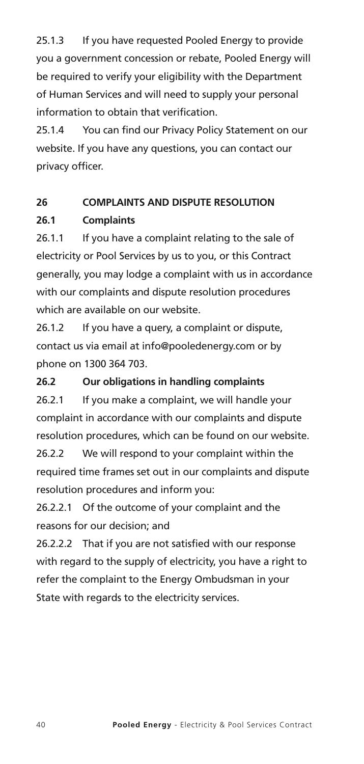25.1.3 If you have requested Pooled Energy to provide you a government concession or rebate, Pooled Energy will be required to verify your eligibility with the Department of Human Services and will need to supply your personal information to obtain that verification.

25.1.4 You can find our Privacy Policy Statement on our website. If you have any questions, you can contact our privacy officer.

#### **26 COMPLAINTS AND DISPUTE RESOLUTION**

#### **26.1 Complaints**

26.1.1 If you have a complaint relating to the sale of electricity or Pool Services by us to you, or this Contract generally, you may lodge a complaint with us in accordance with our complaints and dispute resolution procedures which are available on our website.

26.1.2 If you have a query, a complaint or dispute, contact us via email at info@pooledenergy.com or by phone on 1300 364 703.

#### **26.2 Our obligations in handling complaints**

26.2.1 If you make a complaint, we will handle your complaint in accordance with our complaints and dispute resolution procedures, which can be found on our website.

26.2.2 We will respond to your complaint within the required time frames set out in our complaints and dispute resolution procedures and inform you:

26.2.2.1 Of the outcome of your complaint and the reasons for our decision; and

26.2.2.2 That if you are not satisfied with our response with regard to the supply of electricity, you have a right to refer the complaint to the Energy Ombudsman in your State with regards to the electricity services.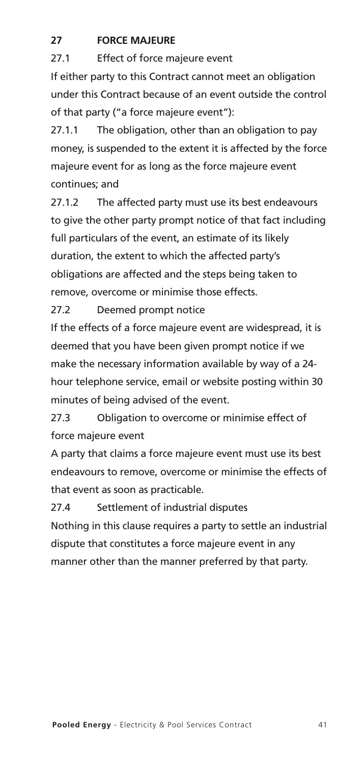#### **27 FORCE MAJEURE**

27.1 Effect of force majeure event

If either party to this Contract cannot meet an obligation under this Contract because of an event outside the control of that party ("a force majeure event"):

27.1.1 The obligation, other than an obligation to pay money, is suspended to the extent it is affected by the force majeure event for as long as the force majeure event continues; and

27.1.2 The affected party must use its best endeavours to give the other party prompt notice of that fact including full particulars of the event, an estimate of its likely duration, the extent to which the affected party's obligations are affected and the steps being taken to remove, overcome or minimise those effects.

27.2 Deemed prompt notice

If the effects of a force majeure event are widespread, it is deemed that you have been given prompt notice if we make the necessary information available by way of a 24 hour telephone service, email or website posting within 30 minutes of being advised of the event.

27.3 Obligation to overcome or minimise effect of force majeure event

A party that claims a force majeure event must use its best endeavours to remove, overcome or minimise the effects of that event as soon as practicable.

27.4 Settlement of industrial disputes

Nothing in this clause requires a party to settle an industrial dispute that constitutes a force majeure event in any manner other than the manner preferred by that party.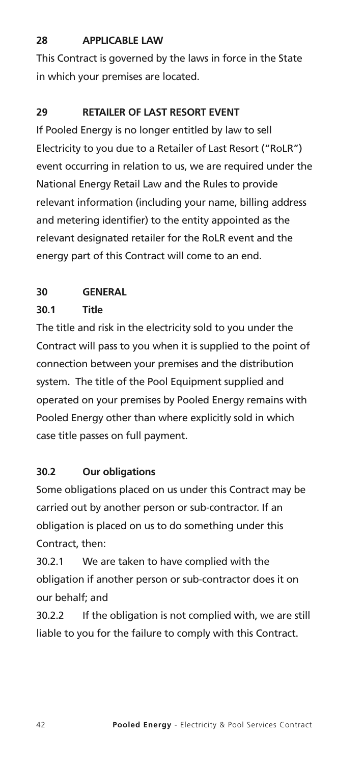#### **28 APPLICABLE LAW**

This Contract is governed by the laws in force in the State in which your premises are located.

#### **29 RETAILER OF LAST RESORT EVENT**

If Pooled Energy is no longer entitled by law to sell Electricity to you due to a Retailer of Last Resort ("RoLR") event occurring in relation to us, we are required under the National Energy Retail Law and the Rules to provide relevant information (including your name, billing address and metering identifier) to the entity appointed as the relevant designated retailer for the RoLR event and the energy part of this Contract will come to an end.

#### **30 GENERAL**

#### **30.1 Title**

The title and risk in the electricity sold to you under the Contract will pass to you when it is supplied to the point of connection between your premises and the distribution system. The title of the Pool Equipment supplied and operated on your premises by Pooled Energy remains with Pooled Energy other than where explicitly sold in which case title passes on full payment.

#### **30.2 Our obligations**

Some obligations placed on us under this Contract may be carried out by another person or sub-contractor. If an obligation is placed on us to do something under this Contract, then:

30.2.1 We are taken to have complied with the obligation if another person or sub-contractor does it on our behalf; and

30.2.2 If the obligation is not complied with, we are still liable to you for the failure to comply with this Contract.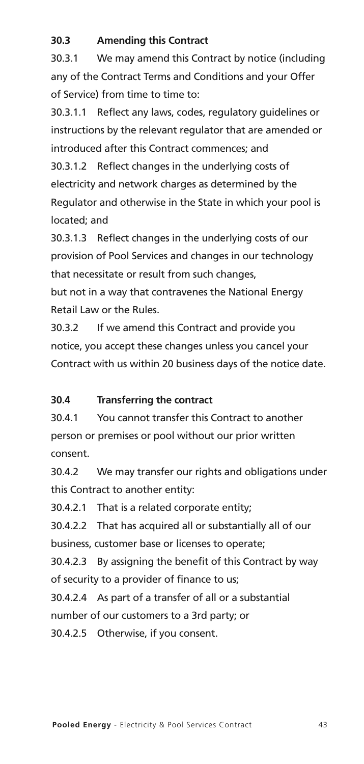#### **30.3 Amending this Contract**

30.3.1 We may amend this Contract by notice (including any of the Contract Terms and Conditions and your Offer of Service) from time to time to:

30.3.1.1 Reflect any laws, codes, regulatory guidelines or instructions by the relevant regulator that are amended or introduced after this Contract commences; and

30.3.1.2 Reflect changes in the underlying costs of electricity and network charges as determined by the Regulator and otherwise in the State in which your pool is located; and

30.3.1.3 Reflect changes in the underlying costs of our provision of Pool Services and changes in our technology that necessitate or result from such changes,

but not in a way that contravenes the National Energy Retail Law or the Rules.

30.3.2 If we amend this Contract and provide you notice, you accept these changes unless you cancel your Contract with us within 20 business days of the notice date.

#### **30.4 Transferring the contract**

30.4.1 You cannot transfer this Contract to another person or premises or pool without our prior written consent.

30.4.2 We may transfer our rights and obligations under this Contract to another entity:

30.4.2.1 That is a related corporate entity;

30.4.2.2 That has acquired all or substantially all of our business, customer base or licenses to operate;

30.4.2.3 By assigning the benefit of this Contract by way of security to a provider of finance to us;

30.4.2.4 As part of a transfer of all or a substantial number of our customers to a 3rd party; or

30.4.2.5 Otherwise, if you consent.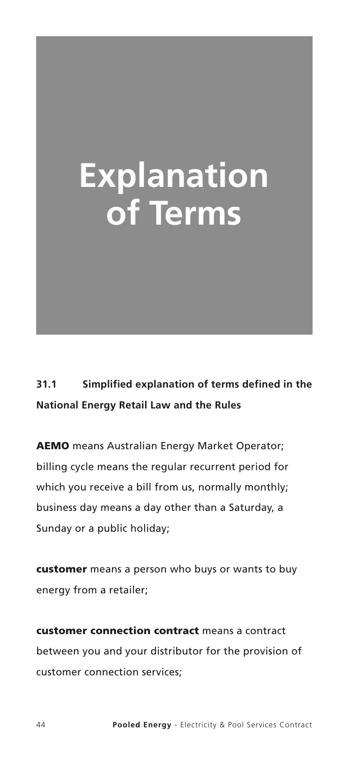# **Explanation of Terms**

**31.1 Simplified explanation of terms defined in the National Energy Retail Law and the Rules**

**AEMO** means Australian Energy Market Operator; billing cycle means the regular recurrent period for which you receive a bill from us, normally monthly; business day means a day other than a Saturday, a Sunday or a public holiday;

**customer** means a person who buys or wants to buy energy from a retailer;

**customer connection contract** means a contract between you and your distributor for the provision of customer connection services;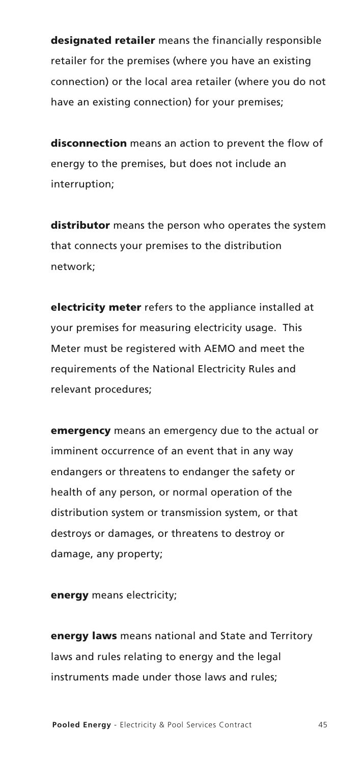**designated retailer** means the financially responsible retailer for the premises (where you have an existing connection) or the local area retailer (where you do not have an existing connection) for your premises;

**disconnection** means an action to prevent the flow of energy to the premises, but does not include an interruption;

**distributor** means the person who operates the system that connects your premises to the distribution network;

**electricity meter** refers to the appliance installed at your premises for measuring electricity usage. This Meter must be registered with AEMO and meet the requirements of the National Electricity Rules and relevant procedures;

**emergency** means an emergency due to the actual or imminent occurrence of an event that in any way endangers or threatens to endanger the safety or health of any person, or normal operation of the distribution system or transmission system, or that destroys or damages, or threatens to destroy or damage, any property;

**energy** means electricity;

**energy laws** means national and State and Territory laws and rules relating to energy and the legal instruments made under those laws and rules;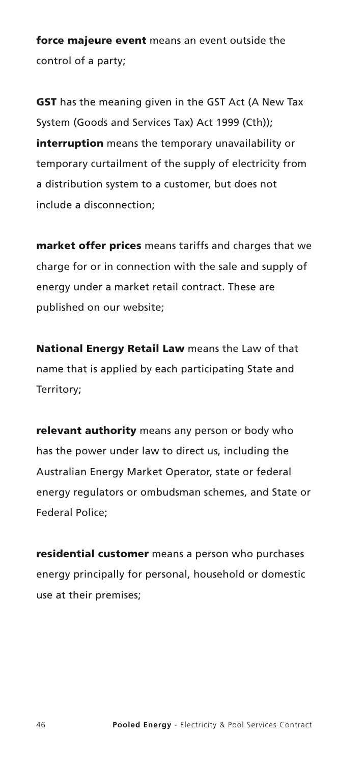**force majeure event** means an event outside the control of a party;

**GST** has the meaning given in the GST Act (A New Tax System (Goods and Services Tax) Act 1999 (Cth)); **interruption** means the temporary unavailability or temporary curtailment of the supply of electricity from a distribution system to a customer, but does not include a disconnection;

**market offer prices** means tariffs and charges that we charge for or in connection with the sale and supply of energy under a market retail contract. These are published on our website;

**National Energy Retail Law** means the Law of that name that is applied by each participating State and Territory;

**relevant authority** means any person or body who has the power under law to direct us, including the Australian Energy Market Operator, state or federal energy regulators or ombudsman schemes, and State or Federal Police;

**residential customer** means a person who purchases energy principally for personal, household or domestic use at their premises;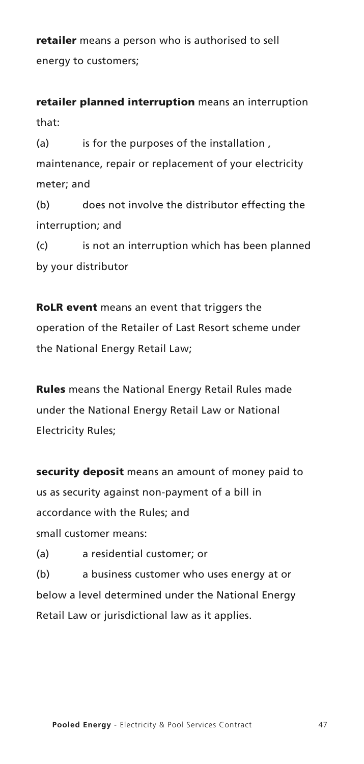**retailer** means a person who is authorised to sell energy to customers;

**retailer planned interruption** means an interruption that:

(a) is for the purposes of the installation, maintenance, repair or replacement of your electricity meter; and

(b) does not involve the distributor effecting the interruption; and

(c) is not an interruption which has been planned by your distributor

**RoLR event** means an event that triggers the operation of the Retailer of Last Resort scheme under the National Energy Retail Law;

**Rules** means the National Energy Retail Rules made under the National Energy Retail Law or National Electricity Rules;

**security deposit** means an amount of money paid to us as security against non-payment of a bill in accordance with the Rules; and small customer means:

(a) a residential customer; or

(b) a business customer who uses energy at or below a level determined under the National Energy Retail Law or jurisdictional law as it applies.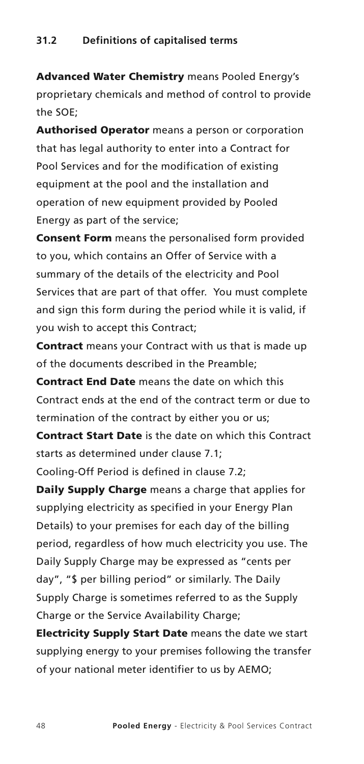**Advanced Water Chemistry** means Pooled Energy's proprietary chemicals and method of control to provide the SOE;

**Authorised Operator** means a person or corporation that has legal authority to enter into a Contract for Pool Services and for the modification of existing equipment at the pool and the installation and operation of new equipment provided by Pooled Energy as part of the service;

**Consent Form** means the personalised form provided to you, which contains an Offer of Service with a summary of the details of the electricity and Pool Services that are part of that offer. You must complete and sign this form during the period while it is valid, if you wish to accept this Contract;

**Contract** means your Contract with us that is made up of the documents described in the Preamble;

**Contract End Date** means the date on which this Contract ends at the end of the contract term or due to termination of the contract by either you or us;

**Contract Start Date** is the date on which this Contract starts as determined under clause 7.1;

Cooling-Off Period is defined in clause 7.2;

**Daily Supply Charge** means a charge that applies for supplying electricity as specified in your Energy Plan Details) to your premises for each day of the billing period, regardless of how much electricity you use. The Daily Supply Charge may be expressed as "cents per day", "\$ per billing period" or similarly. The Daily Supply Charge is sometimes referred to as the Supply Charge or the Service Availability Charge:

**Electricity Supply Start Date** means the date we start supplying energy to your premises following the transfer of your national meter identifier to us by AEMO;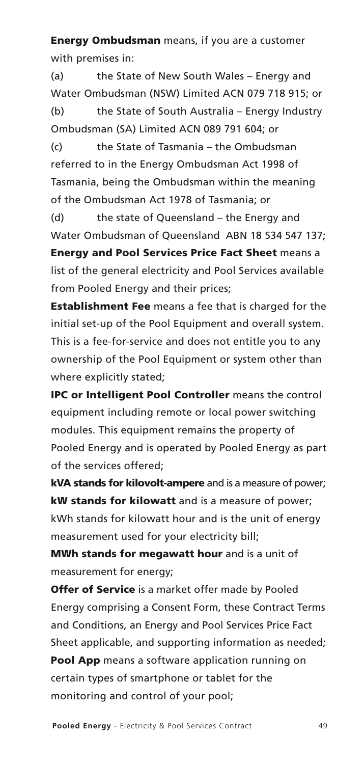**Energy Ombudsman** means, if you are a customer with premises in:

(a) the State of New South Wales – Energy and Water Ombudsman (NSW) Limited ACN 079 718 915; or (b) the State of South Australia – Energy Industry Ombudsman (SA) Limited ACN 089 791 604; or

(c) the State of Tasmania – the Ombudsman referred to in the Energy Ombudsman Act 1998 of Tasmania, being the Ombudsman within the meaning of the Ombudsman Act 1978 of Tasmania; or

(d) the state of Queensland – the Energy and Water Ombudsman of Queensland ABN 18 534 547 137; **Energy and Pool Services Price Fact Sheet** means a list of the general electricity and Pool Services available from Pooled Energy and their prices;

**Establishment Fee** means a fee that is charged for the initial set-up of the Pool Equipment and overall system. This is a fee-for-service and does not entitle you to any ownership of the Pool Equipment or system other than where explicitly stated;

**IPC or Intelligent Pool Controller** means the control equipment including remote or local power switching modules. This equipment remains the property of Pooled Energy and is operated by Pooled Energy as part of the services offered;

**kVA stands for kilovolt-ampere** and is a measure of power; **kW stands for kilowatt** and is a measure of power; kWh stands for kilowatt hour and is the unit of energy measurement used for your electricity bill;

**MWh stands for megawatt hour** and is a unit of measurement for energy;

**Offer of Service** is a market offer made by Pooled Energy comprising a Consent Form, these Contract Terms and Conditions, an Energy and Pool Services Price Fact Sheet applicable, and supporting information as needed; **Pool App** means a software application running on certain types of smartphone or tablet for the monitoring and control of your pool;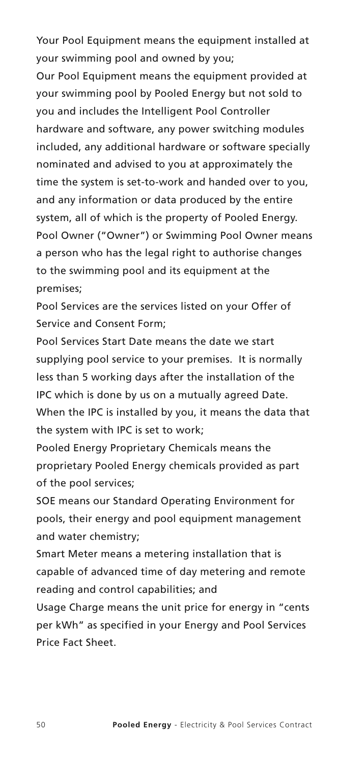Your Pool Equipment means the equipment installed at your swimming pool and owned by you;

Our Pool Equipment means the equipment provided at your swimming pool by Pooled Energy but not sold to you and includes the Intelligent Pool Controller hardware and software, any power switching modules included, any additional hardware or software specially nominated and advised to you at approximately the time the system is set-to-work and handed over to you, and any information or data produced by the entire system, all of which is the property of Pooled Energy. Pool Owner ("Owner") or Swimming Pool Owner means a person who has the legal right to authorise changes to the swimming pool and its equipment at the premises;

Pool Services are the services listed on your Offer of Service and Consent Form;

Pool Services Start Date means the date we start supplying pool service to your premises. It is normally less than 5 working days after the installation of the IPC which is done by us on a mutually agreed Date. When the IPC is installed by you, it means the data that the system with IPC is set to work;

Pooled Energy Proprietary Chemicals means the proprietary Pooled Energy chemicals provided as part of the pool services;

SOE means our Standard Operating Environment for pools, their energy and pool equipment management and water chemistry;

Smart Meter means a metering installation that is capable of advanced time of day metering and remote reading and control capabilities; and

Usage Charge means the unit price for energy in "cents per kWh" as specified in your Energy and Pool Services Price Fact Sheet.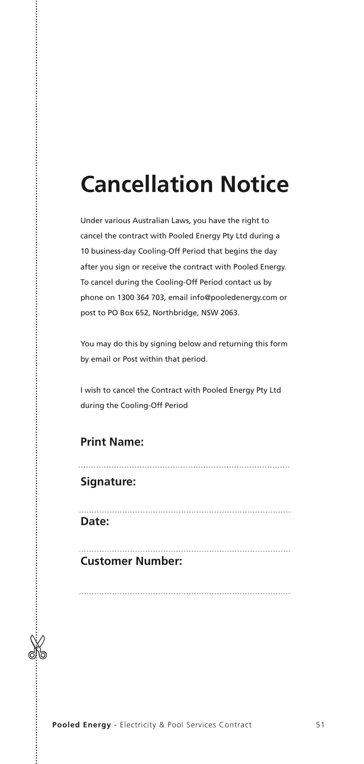# **Cancellation Notice**

Under various Australian Laws, you have the right to cancel the contract with Pooled Energy Pty Ltd during a 10 business-day Cooling-Off Period that begins the day after you sign or receive the contract with Pooled Energy. To cancel during the Cooling-Off Period contact us by phone on 1300 364 703, email info@pooledenergy.com or post to PO Box 652, Northbridge, NSW 2063.

You may do this by signing below and returning this form by email or Post within that period.

I wish to cancel the Contract with Pooled Energy Pty Ltd during the Cooling-Off Period

#### **Print Name:**

#### **Signature:**

 $\%$ 

**Date:**

#### **Customer Number:**